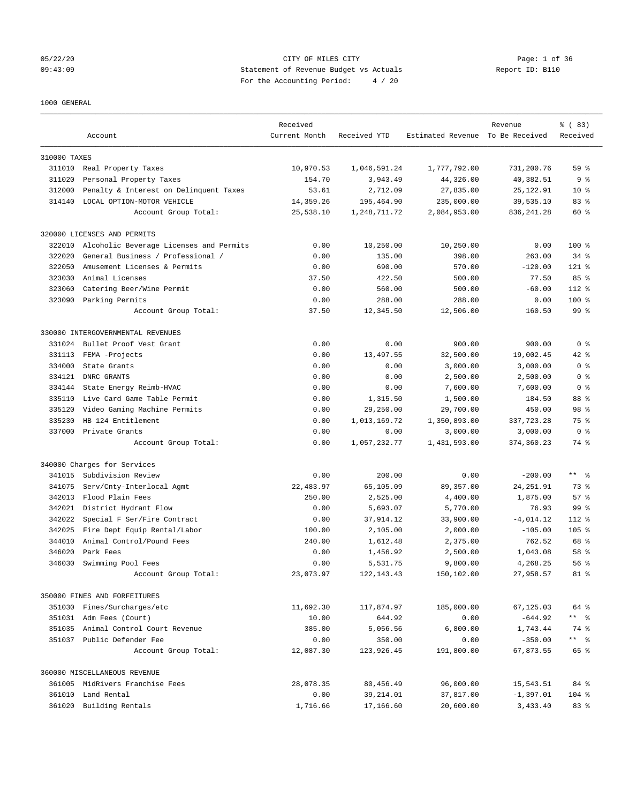## 05/22/20 Page: 1 of 36 09:43:09 Statement of Revenue Budget vs Actuals Report ID: B110 For the Accounting Period: 4 / 20

#### 1000 GENERAL

|              | Account                                 | Received<br>Current Month | Received YTD   | Estimated Revenue To Be Received | Revenue      | % (83)<br>Received |
|--------------|-----------------------------------------|---------------------------|----------------|----------------------------------|--------------|--------------------|
| 310000 TAXES |                                         |                           |                |                                  |              |                    |
|              | 311010 Real Property Taxes              | 10,970.53                 | 1,046,591.24   | 1,777,792.00                     | 731,200.76   | 59 <sup>8</sup>    |
| 311020       | Personal Property Taxes                 | 154.70                    | 3,943.49       | 44,326.00                        | 40,382.51    | 9 <sup>8</sup>     |
| 312000       | Penalty & Interest on Delinquent Taxes  | 53.61                     | 2,712.09       | 27,835.00                        | 25, 122.91   | $10*$              |
| 314140       | LOCAL OPTION-MOTOR VEHICLE              | 14,359.26                 | 195,464.90     | 235,000.00                       | 39,535.10    | 83%                |
|              | Account Group Total:                    | 25,538.10                 | 1, 248, 711.72 | 2,084,953.00                     | 836, 241.28  | 60 %               |
|              | 320000 LICENSES AND PERMITS             |                           |                |                                  |              |                    |
| 322010       | Alcoholic Beverage Licenses and Permits | 0.00                      | 10,250.00      | 10,250.00                        | 0.00         | $100$ %            |
| 322020       | General Business / Professional /       | 0.00                      | 135.00         | 398.00                           | 263.00       | $34$ $%$           |
| 322050       | Amusement Licenses & Permits            | 0.00                      | 690.00         | 570.00                           | $-120.00$    | $121$ %            |
| 323030       | Animal Licenses                         | 37.50                     | 422.50         | 500.00                           | 77.50        | 85%                |
| 323060       | Catering Beer/Wine Permit               | 0.00                      | 560.00         | 500.00                           | $-60.00$     | $112$ %            |
|              | 323090 Parking Permits                  | 0.00                      | 288.00         | 288.00                           | 0.00         | 100 %              |
|              | Account Group Total:                    | 37.50                     | 12,345.50      | 12,506.00                        | 160.50       | 99 %               |
|              | 330000 INTERGOVERNMENTAL REVENUES       |                           |                |                                  |              |                    |
| 331024       | Bullet Proof Vest Grant                 | 0.00                      | 0.00           | 900.00                           | 900.00       | 0 <sup>8</sup>     |
| 331113       | FEMA -Projects                          | 0.00                      | 13,497.55      | 32,500.00                        | 19,002.45    | $42$ %             |
| 334000       | State Grants                            | 0.00                      | 0.00           | 3,000.00                         | 3,000.00     | 0 <sup>8</sup>     |
| 334121       | DNRC GRANTS                             | 0.00                      | 0.00           | 2,500.00                         | 2,500.00     | 0 <sup>8</sup>     |
| 334144       | State Energy Reimb-HVAC                 | 0.00                      | 0.00           | 7,600.00                         | 7,600.00     | 0 <sup>8</sup>     |
| 335110       | Live Card Game Table Permit             | 0.00                      | 1,315.50       | 1,500.00                         | 184.50       | 88 %               |
| 335120       | Video Gaming Machine Permits            | 0.00                      | 29,250.00      | 29,700.00                        | 450.00       | 98 %               |
| 335230       | HB 124 Entitlement                      | 0.00                      | 1,013,169.72   | 1,350,893.00                     | 337, 723.28  | 75 %               |
| 337000       | Private Grants                          | 0.00                      | 0.00           | 3,000.00                         | 3,000.00     | 0 <sup>8</sup>     |
|              | Account Group Total:                    | 0.00                      | 1,057,232.77   | 1,431,593.00                     | 374,360.23   | 74 %               |
|              | 340000 Charges for Services             |                           |                |                                  |              |                    |
| 341015       | Subdivision Review                      | 0.00                      | 200.00         | 0.00                             | $-200.00$    | ** 응               |
| 341075       | Serv/Cnty-Interlocal Agmt               | 22,483.97                 | 65,105.09      | 89, 357.00                       | 24, 251.91   | 73 %               |
| 342013       | Flood Plain Fees                        | 250.00                    | 2,525.00       | 4,400.00                         | 1,875.00     | 57%                |
| 342021       | District Hydrant Flow                   | 0.00                      | 5,693.07       | 5,770.00                         | 76.93        | 99 %               |
| 342022       | Special F Ser/Fire Contract             | 0.00                      | 37,914.12      | 33,900.00                        | $-4,014.12$  | $112$ %            |
| 342025       | Fire Dept Equip Rental/Labor            | 100.00                    | 2,105.00       | 2,000.00                         | $-105.00$    | $105$ %            |
| 344010       | Animal Control/Pound Fees               | 240.00                    | 1,612.48       | 2,375.00                         | 762.52       | 68 %               |
| 346020       | Park Fees                               | 0.00                      | 1,456.92       | 2,500.00                         | 1,043.08     | 58 %               |
| 346030       | Swimming Pool Fees                      | 0.00                      | 5,531.75       | 9,800.00                         | 4,268.25     | 56%                |
|              | Account Group Total:                    | 23,073.97                 | 122, 143. 43   | 150,102.00                       | 27,958.57    | 81 %               |
|              | 350000 FINES AND FORFEITURES            |                           |                |                                  |              |                    |
|              | 351030 Fines/Surcharges/etc             | 11,692.30                 | 117,874.97     | 185,000.00                       | 67,125.03    | 64 %               |
|              | 351031 Adm Fees (Court)                 | 10.00                     | 644.92         | 0.00                             | $-644.92$    | ** %               |
|              | 351035 Animal Control Court Revenue     | 385.00                    | 5,056.56       | 6,800.00                         | 1,743.44     | 74 %               |
|              | 351037 Public Defender Fee              | 0.00                      | 350.00         | 0.00                             | $-350.00$    | ** %               |
|              | Account Group Total:                    | 12,087.30                 | 123,926.45     | 191,800.00                       | 67,873.55    | 65 %               |
|              | 360000 MISCELLANEOUS REVENUE            |                           |                |                                  |              |                    |
|              | 361005 MidRivers Franchise Fees         | 28,078.35                 | 80,456.49      | 96,000.00                        | 15,543.51    | 84 %               |
|              | 361010 Land Rental                      | 0.00                      | 39, 214.01     | 37,817.00                        | $-1, 397.01$ | 104 %              |
|              | 361020 Building Rentals                 | 1,716.66                  | 17,166.60      | 20,600.00                        | 3,433.40     | 83%                |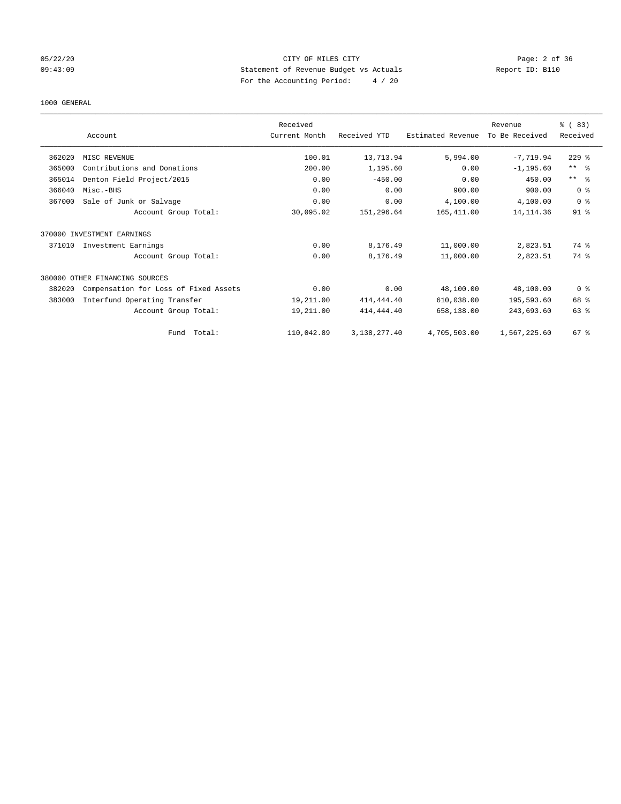## 05/22/20 CITY OF MILES CITY Page: 2 of 36 09:43:09 Statement of Revenue Budget vs Actuals Report ID: B110 For the Accounting Period: 4 / 20

#### 1000 GENERAL

|        |                                       | Received      |              |                   | Revenue        | % (83)                  |
|--------|---------------------------------------|---------------|--------------|-------------------|----------------|-------------------------|
|        | Account                               | Current Month | Received YTD | Estimated Revenue | To Be Received | Received                |
|        |                                       |               |              |                   |                |                         |
| 362020 | MISC REVENUE                          | 100.01        | 13,713.94    | 5,994.00          | $-7,719.94$    | $229$ $%$               |
| 365000 | Contributions and Donations           | 200.00        | 1,195.60     | 0.00              | $-1, 195.60$   | $***$ $=$ $\frac{6}{5}$ |
| 365014 | Denton Field Project/2015             | 0.00          | $-450.00$    | 0.00              | 450.00         | $***$ $ -$              |
| 366040 | Misc.-BHS                             | 0.00          | 0.00         | 900.00            | 900.00         | 0 <sup>8</sup>          |
| 367000 | Sale of Junk or Salvage               | 0.00          | 0.00         | 4,100.00          | 4,100.00       | 0 <sup>8</sup>          |
|        | Account Group Total:                  | 30,095.02     | 151,296.64   | 165,411.00        | 14, 114.36     | $91$ %                  |
| 370000 | INVESTMENT EARNINGS                   |               |              |                   |                |                         |
| 371010 | Investment Earnings                   | 0.00          | 8,176.49     | 11,000.00         | 2,823.51       | 74 %                    |
|        | Account Group Total:                  | 0.00          | 8,176.49     | 11,000.00         | 2,823.51       | 74 %                    |
|        | 380000 OTHER FINANCING SOURCES        |               |              |                   |                |                         |
| 382020 | Compensation for Loss of Fixed Assets | 0.00          | 0.00         | 48,100.00         | 48,100.00      | 0 <sup>8</sup>          |
| 383000 | Interfund Operating Transfer          | 19,211.00     | 414, 444.40  | 610,038.00        | 195,593.60     | 68 %                    |
|        | Account Group Total:                  | 19,211.00     | 414, 444.40  | 658,138.00        | 243,693.60     | 63 %                    |
|        | Total:<br>Fund                        | 110,042.89    | 3,138,277.40 | 4,705,503.00      | 1,567,225.60   | $67$ $%$                |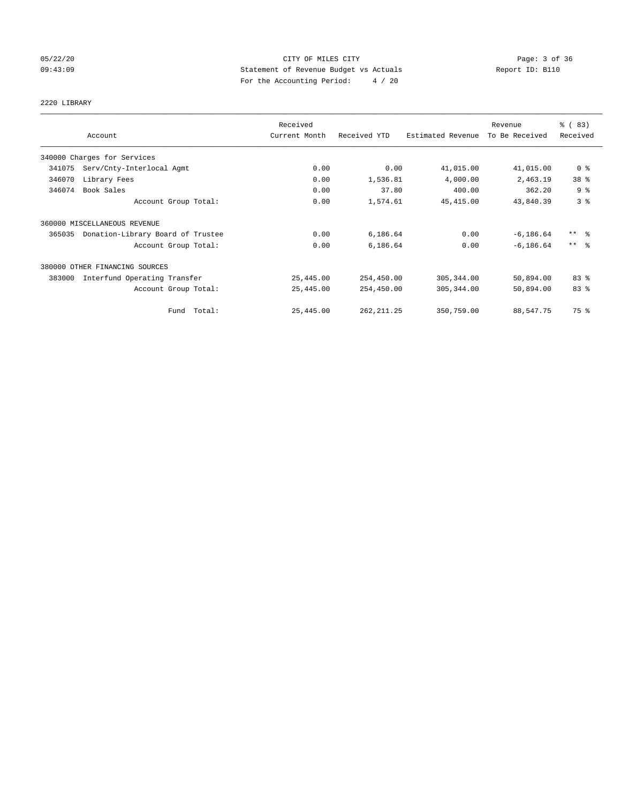## 05/22/20 **CITY OF MILES CITY CONSUMING THE CONSUMING PAGE:** 3 of 36 09:43:09 Statement of Revenue Budget vs Actuals Report ID: B110 For the Accounting Period: 4 / 20

# 2220 LIBRARY

|        |                                   | Received      |              |                   | Revenue        | % (83)              |
|--------|-----------------------------------|---------------|--------------|-------------------|----------------|---------------------|
|        | Account                           | Current Month | Received YTD | Estimated Revenue | To Be Received | Received            |
|        | 340000 Charges for Services       |               |              |                   |                |                     |
| 341075 | Serv/Cnty-Interlocal Agmt         | 0.00          | 0.00         | 41,015.00         | 41,015.00      | 0 <sup>8</sup>      |
| 346070 | Library Fees                      | 0.00          | 1,536.81     | 4,000.00          | 2,463.19       | 38 %                |
| 346074 | Book Sales                        | 0.00          | 37.80        | 400.00            | 362.20         | 9 <sup>°</sup>      |
|        | Account Group Total:              | 0.00          | 1,574.61     | 45, 415.00        | 43,840.39      | 3 <sup>°</sup>      |
|        | 360000 MISCELLANEOUS REVENUE      |               |              |                   |                |                     |
| 365035 | Donation-Library Board of Trustee | 0.00          | 6,186.64     | 0.00              | $-6, 186.64$   | $***$ $\frac{6}{5}$ |
|        | Account Group Total:              | 0.00          | 6,186.64     | 0.00              | $-6, 186.64$   | $***$ $\frac{6}{5}$ |
|        | 380000 OTHER FINANCING SOURCES    |               |              |                   |                |                     |
| 383000 | Interfund Operating Transfer      | 25,445.00     | 254,450.00   | 305, 344.00       | 50,894.00      | 83%                 |
|        | Account Group Total:              | 25,445.00     | 254,450.00   | 305, 344.00       | 50,894.00      | 83 %                |
|        | Fund Total:                       | 25,445.00     | 262, 211.25  | 350,759.00        | 88,547.75      | 75 %                |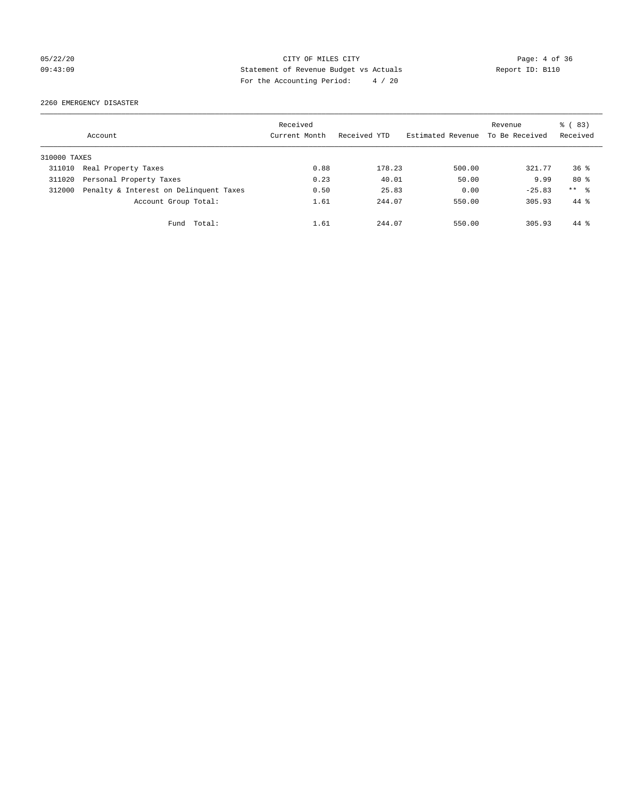## 05/22/20 CITY OF MILES CITY Page: 4 of 36 09:43:09 Statement of Revenue Budget vs Actuals Report ID: B110 For the Accounting Period: 4 / 20

2260 EMERGENCY DISASTER

|              | Account                                | Received<br>Current Month | Received YTD | Estimated Revenue | Revenue<br>To Be Received | $\frac{6}{6}$ (83)<br>Received |
|--------------|----------------------------------------|---------------------------|--------------|-------------------|---------------------------|--------------------------------|
| 310000 TAXES |                                        |                           |              |                   |                           |                                |
| 311010       | Real Property Taxes                    | 0.88                      | 178.23       | 500.00            | 321.77                    | $36*$                          |
| 311020       | Personal Property Taxes                | 0.23                      | 40.01        | 50.00             | 9.99                      | $80*$                          |
| 312000       | Penalty & Interest on Delinquent Taxes | 0.50                      | 25.83        | 0.00              | $-25.83$                  | ** %                           |
|              | Account Group Total:                   | 1.61                      | 244.07       | 550.00            | 305.93                    | $44*$                          |
|              | Total:<br>Fund                         | 1.61                      | 244.07       | 550.00            | 305.93                    | $44*$                          |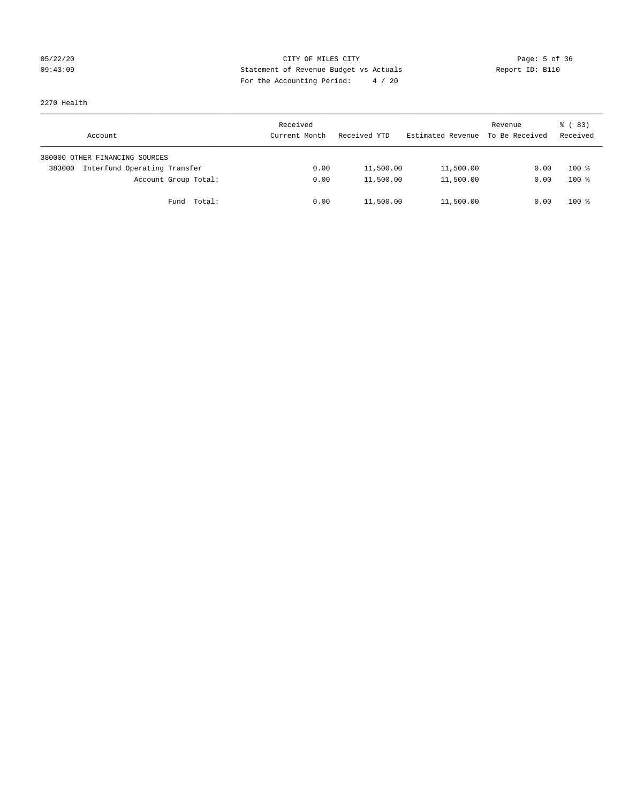## 05/22/20 **CITY OF MILES CITY CONSUMING THE CONSUMING PAGE:** 5 of 36 09:43:09 Statement of Revenue Budget vs Actuals Report ID: B110 For the Accounting Period: 4 / 20

2270 Health

| Account                                | Received<br>Current Month | Received YTD | Estimated Revenue | Revenue<br>To Be Received | 8 (83)<br>Received |
|----------------------------------------|---------------------------|--------------|-------------------|---------------------------|--------------------|
| 380000 OTHER FINANCING SOURCES         |                           |              |                   |                           |                    |
| Interfund Operating Transfer<br>383000 | 0.00                      | 11,500.00    | 11,500.00         | 0.00                      | $100*$             |
| Account Group Total:                   | 0.00                      | 11,500.00    | 11,500.00         | 0.00                      | $100*$             |
| Total:<br>Fund                         | 0.00                      | 11,500.00    | 11,500.00         | 0.00                      | $100*$             |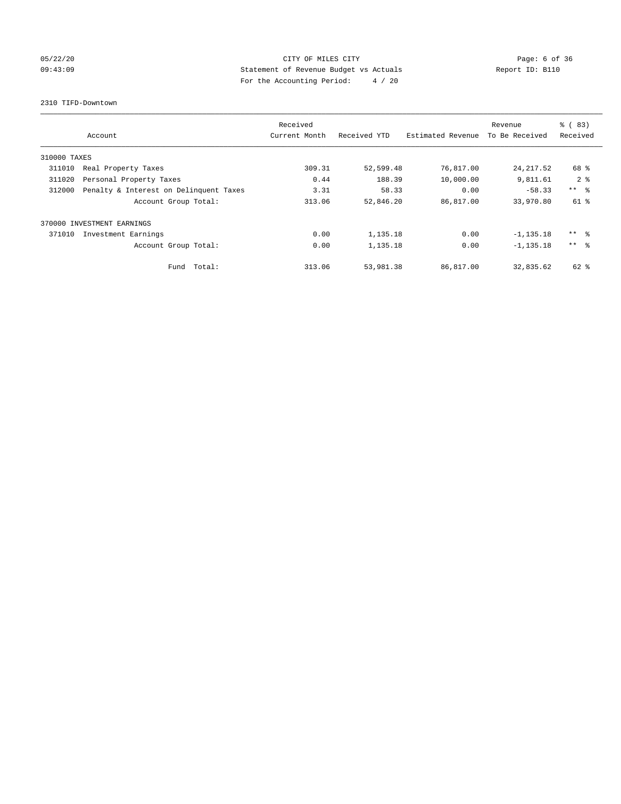## 05/22/20 **CITY OF MILES CITY CONSUMING THE CONSUMING PAGE:** 6 of 36 09:43:09 Statement of Revenue Budget vs Actuals Report ID: B110 For the Accounting Period: 4 / 20

## 2310 TIFD-Downtown

|              | Account                                | Received<br>Current Month | Received YTD | Estimated Revenue | Revenue<br>To Be Received | $\frac{8}{6}$ (83)<br>Received |
|--------------|----------------------------------------|---------------------------|--------------|-------------------|---------------------------|--------------------------------|
| 310000 TAXES |                                        |                           |              |                   |                           |                                |
| 311010       | Real Property Taxes                    | 309.31                    | 52,599.48    | 76,817.00         | 24, 217.52                | 68 %                           |
| 311020       | Personal Property Taxes                | 0.44                      | 188.39       | 10,000.00         | 9,811.61                  | 2 <sup>8</sup>                 |
| 312000       | Penalty & Interest on Delinquent Taxes | 3.31                      | 58.33        | 0.00              | $-58.33$                  | $***$ $-$                      |
|              | Account Group Total:                   | 313.06                    | 52,846.20    | 86,817.00         | 33,970.80                 | 61 %                           |
| 370000       | INVESTMENT EARNINGS                    |                           |              |                   |                           |                                |
| 371010       | Investment Earnings                    | 0.00                      | 1,135.18     | 0.00              | $-1, 135.18$              | ** 왕                           |
|              | Account Group Total:                   | 0.00                      | 1,135.18     | 0.00              | $-1, 135.18$              | $***$ $\approx$                |
|              | Fund Total:                            | 313.06                    | 53,981.38    | 86,817.00         | 32,835.62                 | $62$ $%$                       |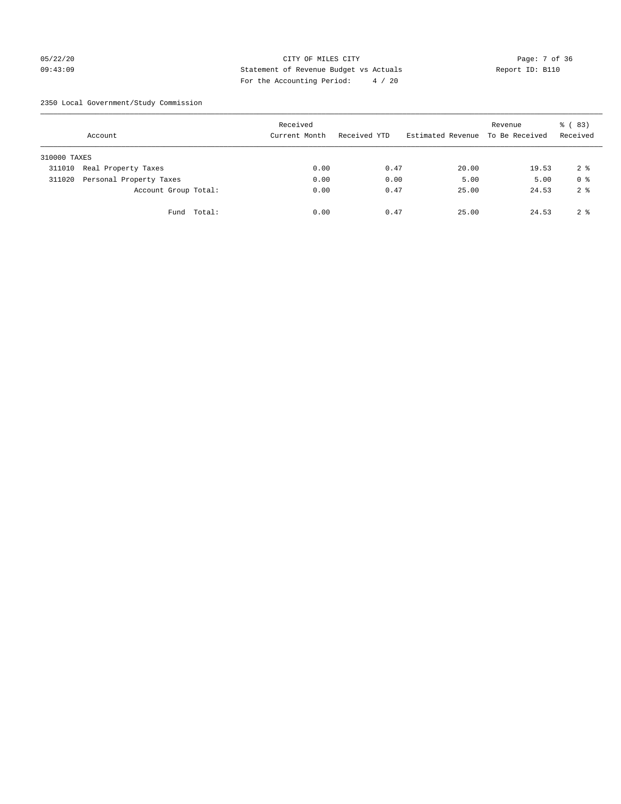## 05/22/20 Page: 7 of 36 09:43:09 Statement of Revenue Budget vs Actuals Report ID: B110 For the Accounting Period: 4 / 20

2350 Local Government/Study Commission

|              | Account                 |             | Received<br>Current Month |      | Received YTD |      | Estimated Revenue To Be Received | Revenue | % (83)<br>Received |
|--------------|-------------------------|-------------|---------------------------|------|--------------|------|----------------------------------|---------|--------------------|
| 310000 TAXES |                         |             |                           |      |              |      |                                  |         |                    |
| 311010       | Real Property Taxes     |             |                           | 0.00 |              | 0.47 | 20.00                            | 19.53   | 2 <sub>8</sub>     |
| 311020       | Personal Property Taxes |             |                           | 0.00 |              | 0.00 | 5.00                             | 5.00    | 0 <sup>8</sup>     |
|              | Account Group Total:    |             |                           | 0.00 |              | 0.47 | 25.00                            | 24.53   | 2 <sup>8</sup>     |
|              |                         | Fund Total: |                           | 0.00 |              | 0.47 | 25.00                            | 24.53   | 2 <sup>8</sup>     |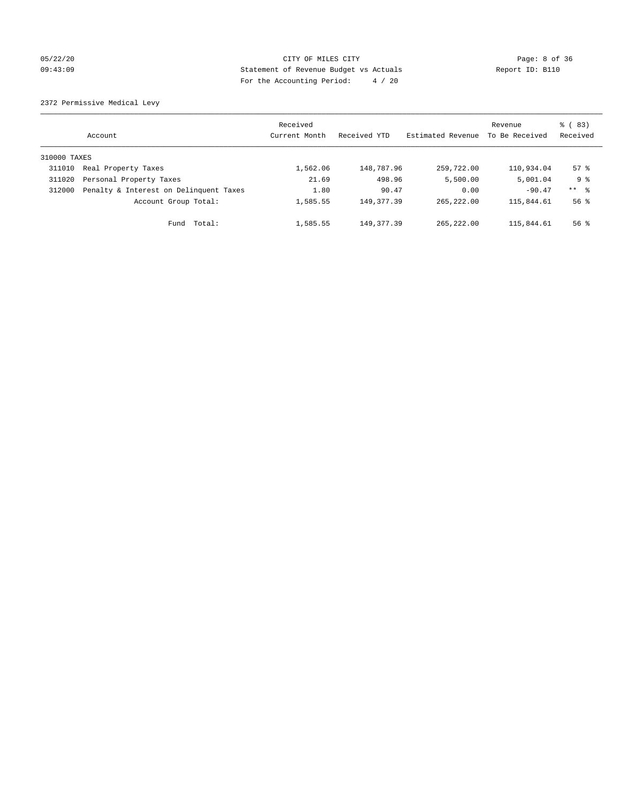## 05/22/20 **CITY OF MILES CITY CONSUMING THE CONSUMING PAGE:** 8 of 36 09:43:09 Statement of Revenue Budget vs Actuals Report ID: B110 For the Accounting Period: 4 / 20

2372 Permissive Medical Levy

|              | Account                                | Received<br>Current Month | Received YTD | Estimated Revenue | Revenue<br>To Be Received | $\frac{6}{6}$ (83)<br>Received |
|--------------|----------------------------------------|---------------------------|--------------|-------------------|---------------------------|--------------------------------|
| 310000 TAXES |                                        |                           |              |                   |                           |                                |
| 311010       | Real Property Taxes                    | 1,562.06                  | 148,787.96   | 259,722.00        | 110,934.04                | $57$ $\frac{6}{3}$             |
| 311020       | Personal Property Taxes                | 21.69                     | 498.96       | 5,500.00          | 5,001.04                  | 9 <sub>8</sub>                 |
| 312000       | Penalty & Interest on Delinquent Taxes | 1.80                      | 90.47        | 0.00              | $-90.47$                  | $***$ $\frac{6}{5}$            |
|              | Account Group Total:                   | 1,585.55                  | 149, 377.39  | 265, 222, 00      | 115,844.61                | $56$ $\frac{6}{3}$             |
|              | Total:<br>Fund                         | 1,585.55                  | 149, 377, 39 | 265, 222, 00      | 115,844.61                | $56$ $\frac{6}{3}$             |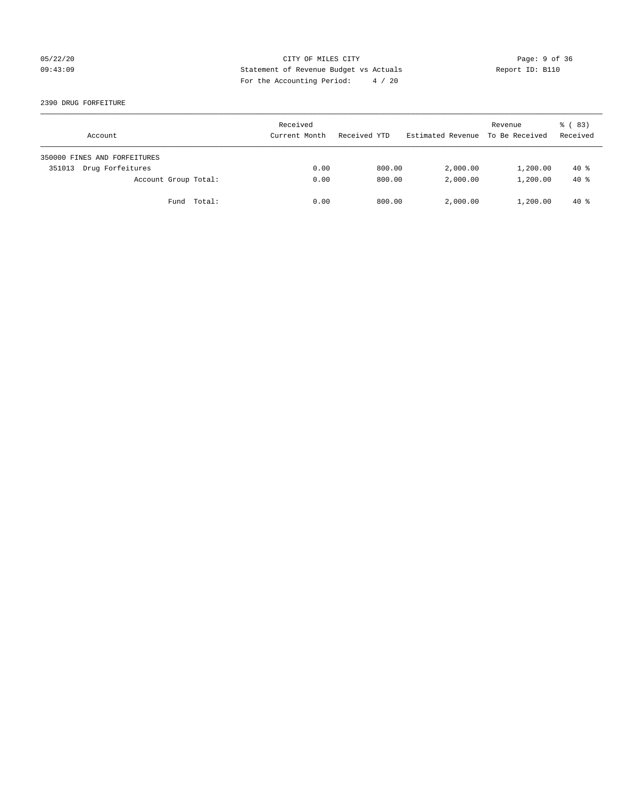## 05/22/20 Page: 9 of 36 09:43:09 Statement of Revenue Budget vs Actuals Report ID: B110 For the Accounting Period: 4 / 20

2390 DRUG FORFEITURE

| Account                      | Received<br>Current Month | Received YTD | Estimated Revenue | Revenue<br>To Be Received | 8 (83)<br>Received |
|------------------------------|---------------------------|--------------|-------------------|---------------------------|--------------------|
| 350000 FINES AND FORFEITURES |                           |              |                   |                           |                    |
| Drug Forfeitures<br>351013   | 0.00                      | 800.00       | 2,000.00          | 1,200.00                  | $40*$              |
| Account Group Total:         | 0.00                      | 800.00       | 2,000.00          | 1,200.00                  | $40*$              |
| Fund Total:                  | 0.00                      | 800.00       | 2,000.00          | 1,200.00                  | $40*$              |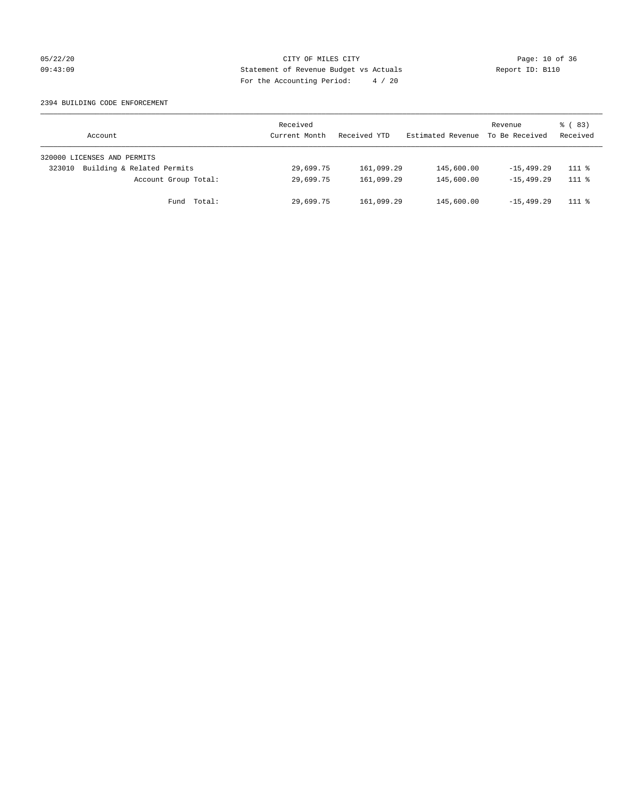## 05/22/20 Page: 10 of 36 09:43:09 Statement of Revenue Budget vs Actuals Report ID: B110 For the Accounting Period: 4 / 20

## 2394 BUILDING CODE ENFORCEMENT

| Account                              | Received<br>Current Month | Received YTD | Estimated Revenue | Revenue<br>To Be Received | 8 (83)<br>Received |
|--------------------------------------|---------------------------|--------------|-------------------|---------------------------|--------------------|
| 320000 LICENSES AND PERMITS          |                           |              |                   |                           |                    |
| Building & Related Permits<br>323010 | 29,699.75                 | 161,099.29   | 145,600.00        | $-15, 499.29$             | $111*$             |
| Account Group Total:                 | 29,699.75                 | 161,099.29   | 145,600.00        | $-15, 499, 29$            | $111$ %            |
| Fund Total:                          | 29,699.75                 | 161,099.29   | 145,600.00        | $-15, 499, 29$            | $111*$             |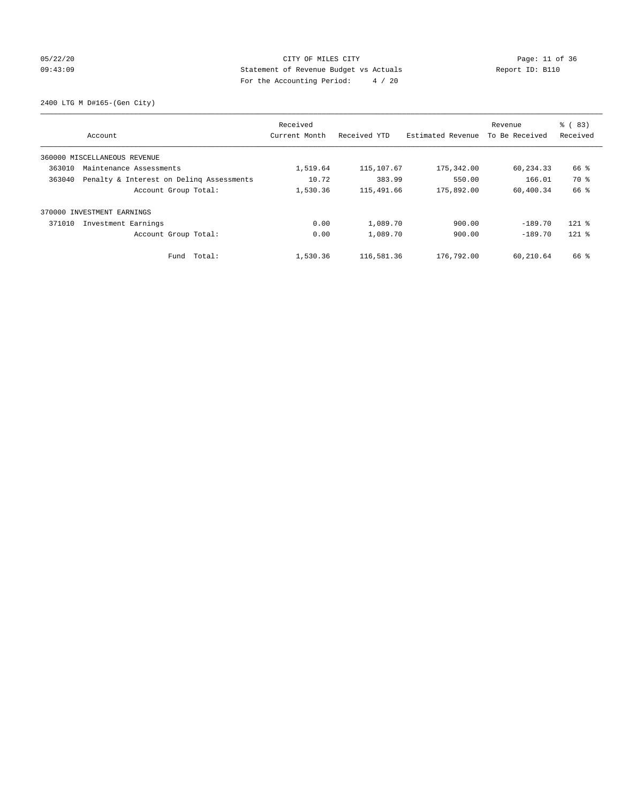## 05/22/20 Page: 11 of 36 09:43:09 Statement of Revenue Budget vs Actuals Report ID: B110 For the Accounting Period: 4 / 20

2400 LTG M D#165-(Gen City)

| Account                                            | Received<br>Current Month | Received YTD | Estimated Revenue | Revenue<br>To Be Received | % (83)<br>Received |
|----------------------------------------------------|---------------------------|--------------|-------------------|---------------------------|--------------------|
|                                                    |                           |              |                   |                           |                    |
| 360000 MISCELLANEOUS REVENUE                       |                           |              |                   |                           |                    |
| 363010<br>Maintenance Assessments                  | 1,519.64                  | 115,107.67   | 175,342.00        | 60,234.33                 | 66 %               |
| 363040<br>Penalty & Interest on Deling Assessments | 10.72                     | 383.99       | 550.00            | 166.01                    | 70 %               |
| Account Group Total:                               | 1,530.36                  | 115,491.66   | 175,892.00        | 60,400.34                 | 66 %               |
| 370000 INVESTMENT EARNINGS                         |                           |              |                   |                           |                    |
| 371010<br>Investment Earnings                      | 0.00                      | 1,089.70     | 900.00            | $-189.70$                 | $121$ %            |
| Account Group Total:                               | 0.00                      | 1,089.70     | 900.00            | $-189.70$                 | $121$ %            |
| Total:<br>Fund                                     | 1,530.36                  | 116,581.36   | 176,792.00        | 60,210.64                 | 66 %               |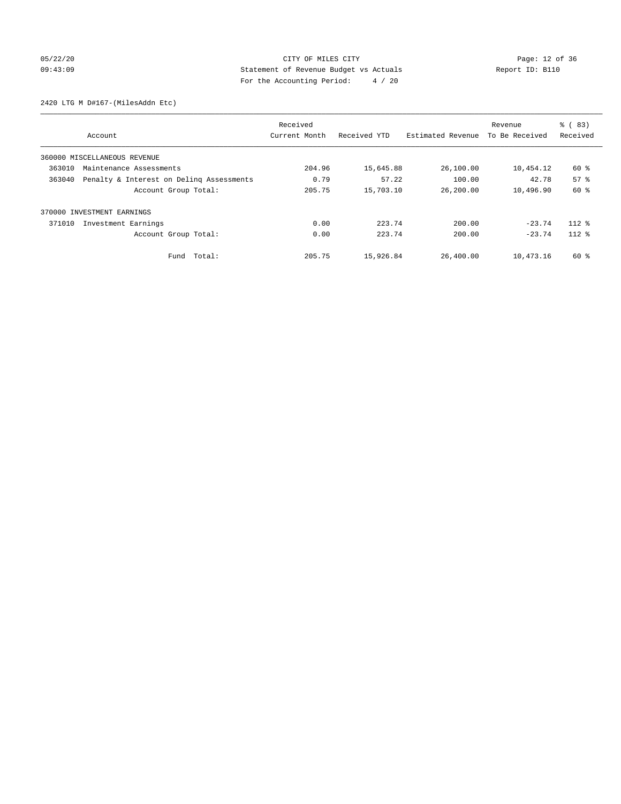## 05/22/20 Page: 12 of 36 09:43:09 Statement of Revenue Budget vs Actuals Report ID: B110 For the Accounting Period: 4 / 20

2420 LTG M D#167-(MilesAddn Etc)

|        |                                          | Received      |              | Revenue           | % (83)         |                 |
|--------|------------------------------------------|---------------|--------------|-------------------|----------------|-----------------|
|        | Account                                  | Current Month | Received YTD | Estimated Revenue | To Be Received | Received        |
|        | 360000 MISCELLANEOUS REVENUE             |               |              |                   |                |                 |
| 363010 | Maintenance Assessments                  | 204.96        | 15,645.88    | 26,100.00         | 10,454.12      | 60 %            |
| 363040 | Penalty & Interest on Deling Assessments | 0.79          | 57.22        | 100.00            | 42.78          | 57 <sup>8</sup> |
|        | Account Group Total:                     | 205.75        | 15,703.10    | 26,200.00         | 10,496.90      | 60 %            |
|        | 370000 INVESTMENT EARNINGS               |               |              |                   |                |                 |
| 371010 | Investment Earnings                      | 0.00          | 223.74       | 200.00            | $-23.74$       | $112*$          |
|        | Account Group Total:                     | 0.00          | 223.74       | 200.00            | $-23.74$       | $112*$          |
|        | Fund Total:                              | 205.75        | 15,926.84    | 26,400.00         | 10,473.16      | 60 %            |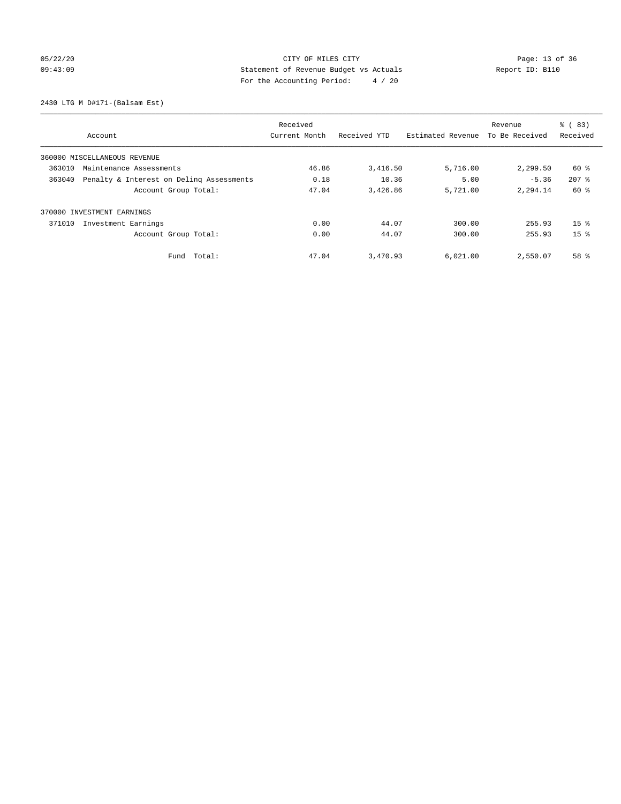## 05/22/20 Page: 13 of 36 CITY OF MILES CITY CONTROL PAGE: 13 of 36 09:43:09 Statement of Revenue Budget vs Actuals Report ID: B110 For the Accounting Period: 4 / 20

2430 LTG M D#171-(Balsam Est)

|                                                    | Received      |              |                   | Revenue        | $\frac{6}{6}$ (83) |
|----------------------------------------------------|---------------|--------------|-------------------|----------------|--------------------|
| Account                                            | Current Month | Received YTD | Estimated Revenue | To Be Received | Received           |
| 360000 MISCELLANEOUS REVENUE                       |               |              |                   |                |                    |
| 363010<br>Maintenance Assessments                  | 46.86         | 3,416.50     | 5,716.00          | 2,299.50       | 60 %               |
| 363040<br>Penalty & Interest on Deling Assessments | 0.18          | 10.36        | 5.00              | $-5.36$        | $207$ $%$          |
| Account Group Total:                               | 47.04         | 3,426.86     | 5,721.00          | 2,294.14       | 60 %               |
| 370000 INVESTMENT EARNINGS                         |               |              |                   |                |                    |
| 371010<br>Investment Earnings                      | 0.00          | 44.07        | 300.00            | 255.93         | 15 <sup>8</sup>    |
| Account Group Total:                               | 0.00          | 44.07        | 300.00            | 255.93         | 15 <sup>8</sup>    |
| Total:<br>Fund                                     | 47.04         | 3,470.93     | 6,021.00          | 2,550.07       | 58 %               |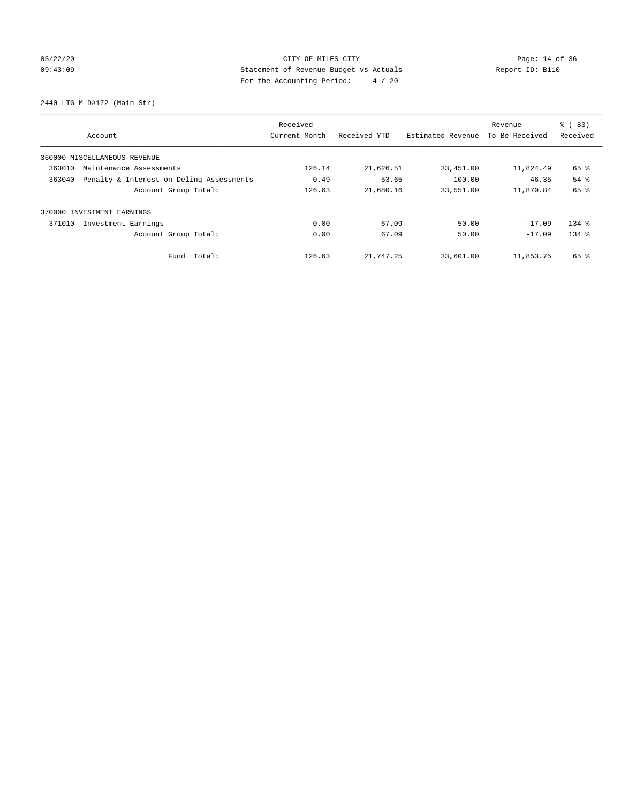## 05/22/20 Page: 14 of 36 09:43:09 Statement of Revenue Budget vs Actuals Report ID: B110 For the Accounting Period: 4 / 20

2440 LTG M D#172-(Main Str)

|                                                    |                              | Received      |              |                   | Revenue        | % (83)    |
|----------------------------------------------------|------------------------------|---------------|--------------|-------------------|----------------|-----------|
|                                                    | Account                      | Current Month | Received YTD | Estimated Revenue | To Be Received | Received  |
|                                                    | 360000 MISCELLANEOUS REVENUE |               |              |                   |                |           |
| 363010                                             | Maintenance Assessments      |               | 21,626.51    | 33,451.00         | 11,824.49      | 65 %      |
| Penalty & Interest on Deling Assessments<br>363040 |                              | 0.49          | 53.65        | 100.00            | 46.35          | 54 %      |
|                                                    | Account Group Total:         | 126.63        | 21,680.16    | 33,551.00         | 11,870.84      | 65 %      |
|                                                    | 370000 INVESTMENT EARNINGS   |               |              |                   |                |           |
| 371010                                             | Investment Earnings          | 0.00          | 67.09        | 50.00             | $-17.09$       | $134$ $%$ |
|                                                    | Account Group Total:         | 0.00          | 67.09        | 50.00             | $-17.09$       | $134$ $%$ |
|                                                    | Fund Total:                  | 126.63        | 21,747.25    | 33,601.00         | 11,853.75      | 65 %      |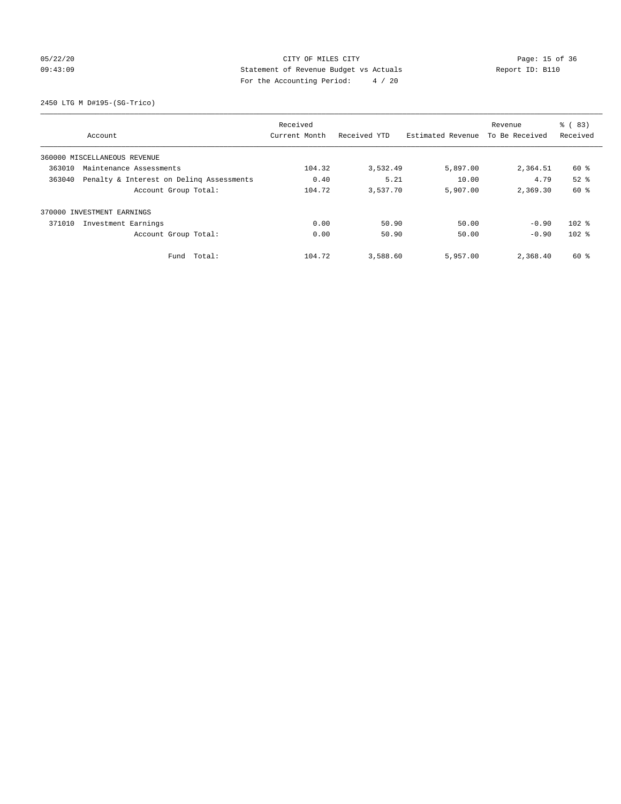## 05/22/20 Page: 15 of 36 CITY OF MILES CITY CONTROL PAGE: 15 of 36 09:43:09 Statement of Revenue Budget vs Actuals Report ID: B110 For the Accounting Period: 4 / 20

2450 LTG M D#195-(SG-Trico)

|        |                                          | Received                      |                   |                | Revenue  | % (83)   |
|--------|------------------------------------------|-------------------------------|-------------------|----------------|----------|----------|
|        | Account                                  | Received YTD<br>Current Month | Estimated Revenue | To Be Received | Received |          |
|        | 360000 MISCELLANEOUS REVENUE             |                               |                   |                |          |          |
| 363010 | Maintenance Assessments                  |                               | 3,532.49          | 5,897.00       | 2,364.51 | 60 %     |
| 363040 | Penalty & Interest on Deling Assessments | 0.40                          | 5.21              | 10.00          | 4.79     | $52$ $%$ |
|        | Account Group Total:                     | 104.72                        | 3,537.70          | 5,907.00       | 2,369.30 | 60 %     |
|        | 370000 INVESTMENT EARNINGS               |                               |                   |                |          |          |
| 371010 | Investment Earnings                      | 0.00                          | 50.90             | 50.00          | $-0.90$  | $102$ %  |
|        | Account Group Total:                     | 0.00                          | 50.90             | 50.00          | $-0.90$  | $102$ %  |
|        | Fund Total:                              | 104.72                        | 3,588.60          | 5,957.00       | 2,368.40 | 60 %     |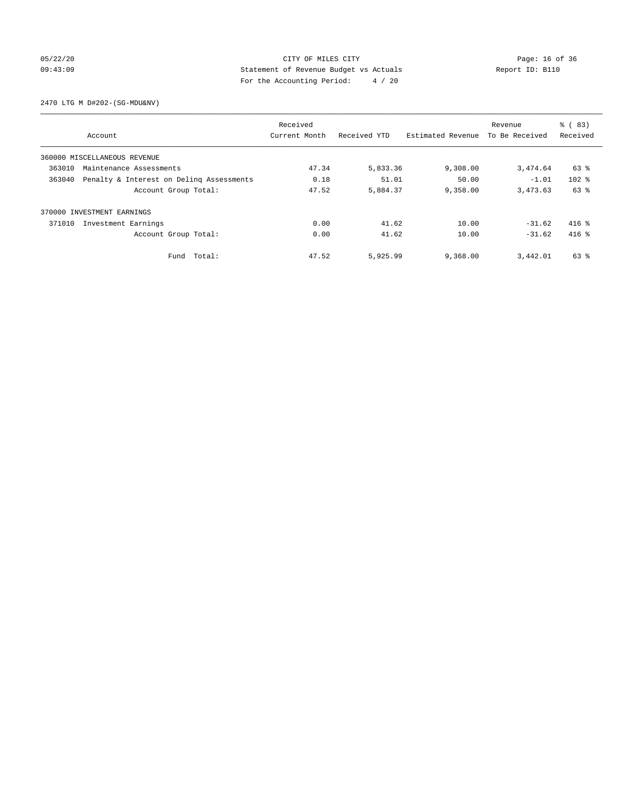## 05/22/20 Page: 16 of 36 CITY OF MILES CITY CONTROL PAGE: 16 of 36 09:43:09 Statement of Revenue Budget vs Actuals Report ID: B110 For the Accounting Period: 4 / 20

2470 LTG M D#202-(SG-MDU&NV)

|                              |                                          | Received      |              |                   | Revenue        | % (83)<br>Received |
|------------------------------|------------------------------------------|---------------|--------------|-------------------|----------------|--------------------|
| Account                      |                                          | Current Month | Received YTD | Estimated Revenue | To Be Received |                    |
| 360000 MISCELLANEOUS REVENUE |                                          |               |              |                   |                |                    |
| 363010                       | Maintenance Assessments                  |               | 5,833.36     | 9,308.00          | 3,474.64       | 63 %               |
| 363040                       | Penalty & Interest on Deling Assessments | 0.18          | 51.01        | 50.00             | $-1.01$        | $102$ %            |
|                              | Account Group Total:                     | 47.52         | 5,884.37     | 9,358.00          | 3,473.63       | 63 %               |
| 370000 INVESTMENT EARNINGS   |                                          |               |              |                   |                |                    |
| 371010                       | Investment Earnings                      | 0.00          | 41.62        | 10.00             | $-31.62$       | $416$ %            |
|                              | Account Group Total:                     | 0.00          | 41.62        | 10.00             | $-31.62$       | $416$ %            |
|                              | Fund Total:                              | 47.52         | 5,925.99     | 9,368.00          | 3,442.01       | 63 %               |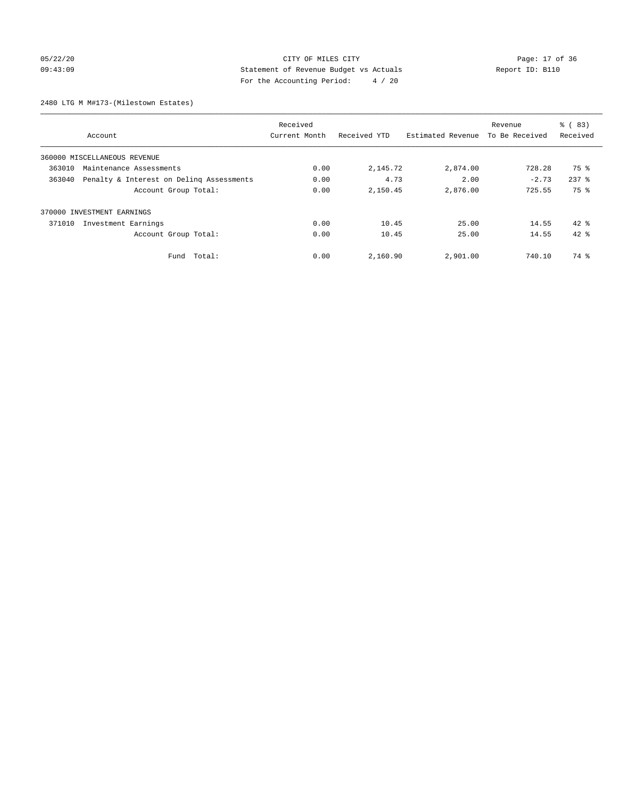## 05/22/20 Page: 17 of 36 09:43:09 Statement of Revenue Budget vs Actuals Report ID: B110 For the Accounting Period: 4 / 20

2480 LTG M M#173-(Milestown Estates)

| Received                          |                                          |               |              |                   | Revenue        | % (83)    |
|-----------------------------------|------------------------------------------|---------------|--------------|-------------------|----------------|-----------|
| Account                           |                                          | Current Month | Received YTD | Estimated Revenue | To Be Received | Received  |
| 360000 MISCELLANEOUS REVENUE      |                                          |               |              |                   |                |           |
| 363010<br>Maintenance Assessments |                                          | 0.00          | 2,145.72     | 2,874.00          | 728.28         | 75 %      |
| 363040                            | Penalty & Interest on Deling Assessments | 0.00          | 4.73         | 2.00              | $-2.73$        | $237$ $%$ |
|                                   | Account Group Total:                     | 0.00          | 2,150.45     | 2,876.00          | 725.55         | 75 %      |
| 370000 INVESTMENT EARNINGS        |                                          |               |              |                   |                |           |
| 371010<br>Investment Earnings     |                                          | 0.00          | 10.45        | 25.00             | 14.55          | $42*$     |
|                                   | Account Group Total:                     | 0.00          | 10.45        | 25.00             | 14.55          | $42*$     |
|                                   | Fund Total:                              | 0.00          | 2,160.90     | 2,901.00          | 740.10         | 74 %      |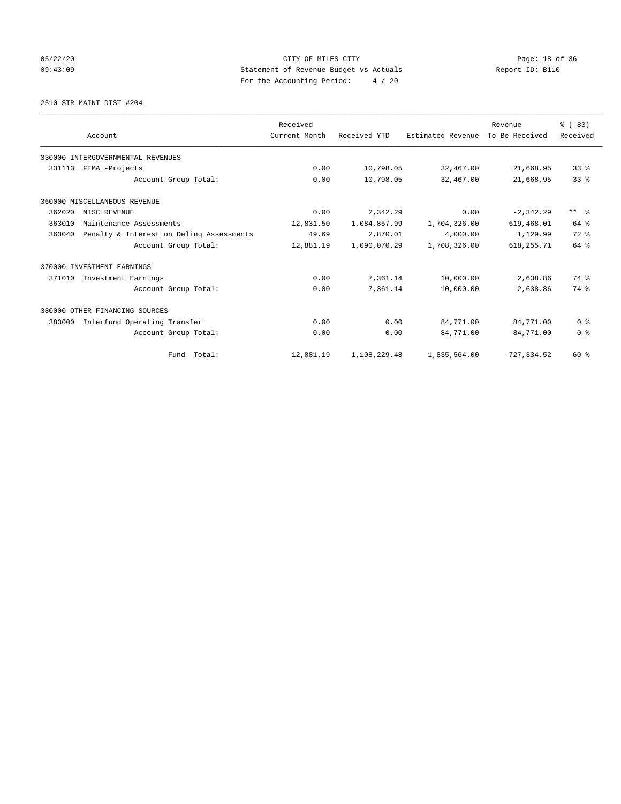## 05/22/20 Page: 18 of 36 CITY OF MILES CITY CONTROL PAGE: 18 of 36 09:43:09 Statement of Revenue Budget vs Actuals Report ID: B110 For the Accounting Period: 4 / 20

2510 STR MAINT DIST #204

|        |                                          | Received      |              |                   | Revenue        | % (83)          |
|--------|------------------------------------------|---------------|--------------|-------------------|----------------|-----------------|
|        | Account                                  | Current Month | Received YTD | Estimated Revenue | To Be Received | Received        |
|        | 330000 INTERGOVERNMENTAL REVENUES        |               |              |                   |                |                 |
| 331113 | FEMA -Projects                           | 0.00          | 10,798.05    | 32,467.00         | 21,668.95      | 33 <sup>8</sup> |
|        | Account Group Total:                     | 0.00          | 10,798.05    | 32,467.00         | 21,668.95      | 33 <sup>8</sup> |
|        | 360000 MISCELLANEOUS REVENUE             |               |              |                   |                |                 |
| 362020 | MISC REVENUE                             | 0.00          | 2,342.29     | 0.00              | $-2,342.29$    | $***$ $ -$      |
| 363010 | Maintenance Assessments                  | 12,831.50     | 1,084,857.99 | 1,704,326.00      | 619,468.01     | $64$ $%$        |
| 363040 | Penalty & Interest on Deling Assessments | 49.69         | 2,870.01     | 4,000.00          | 1,129.99       | $72$ $%$        |
|        | Account Group Total:                     | 12,881.19     | 1,090,070.29 | 1,708,326.00      | 618, 255.71    | 64 %            |
|        | 370000 INVESTMENT EARNINGS               |               |              |                   |                |                 |
| 371010 | Investment Earnings                      | 0.00          | 7,361.14     | 10,000.00         | 2,638.86       | 74 %            |
|        | Account Group Total:                     | 0.00          | 7,361.14     | 10,000.00         | 2,638.86       | 74 %            |
|        | 380000 OTHER FINANCING SOURCES           |               |              |                   |                |                 |
| 383000 | Interfund Operating Transfer             | 0.00          | 0.00         | 84,771.00         | 84,771.00      | 0 <sup>8</sup>  |
|        | Account Group Total:                     | 0.00          | 0.00         | 84,771.00         | 84,771.00      | 0 <sup>8</sup>  |
|        | Fund Total:                              | 12,881.19     | 1,108,229.48 | 1,835,564.00      | 727, 334.52    | $60*$           |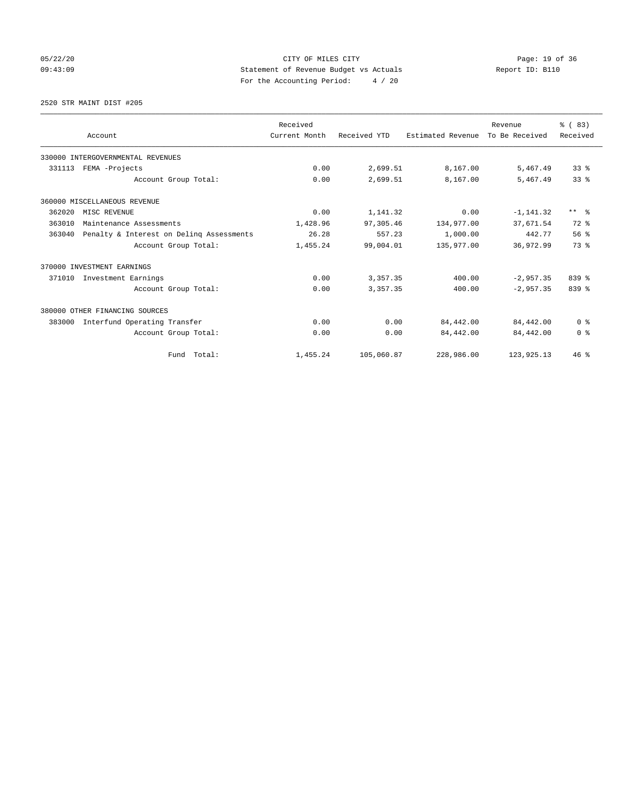## 05/22/20 Page: 19 of 36 CITY OF MILES CITY CONTROL PAGE: 19 Of 36 09:43:09 Statement of Revenue Budget vs Actuals Report ID: B110 For the Accounting Period: 4 / 20

2520 STR MAINT DIST #205

|        |                                          | Received      |              |                   | Revenue        | % (83)                  |
|--------|------------------------------------------|---------------|--------------|-------------------|----------------|-------------------------|
|        | Account                                  | Current Month | Received YTD | Estimated Revenue | To Be Received | Received                |
|        | 330000 INTERGOVERNMENTAL REVENUES        |               |              |                   |                |                         |
| 331113 | FEMA -Projects                           | 0.00          | 2,699.51     | 8,167.00          | 5,467.49       | 338                     |
|        | Account Group Total:                     | 0.00          | 2,699.51     | 8,167.00          | 5,467.49       | 33 <sup>8</sup>         |
|        | 360000 MISCELLANEOUS REVENUE             |               |              |                   |                |                         |
| 362020 | MISC REVENUE                             | 0.00          | 1,141.32     | 0.00              | $-1, 141.32$   | $***$ $=$ $\frac{6}{5}$ |
| 363010 | Maintenance Assessments                  | 1,428.96      | 97,305.46    | 134,977.00        | 37,671.54      | $72$ $%$                |
| 363040 | Penalty & Interest on Deling Assessments |               | 557.23       | 1,000.00          | 442.77         | 56%                     |
|        | Account Group Total:                     | 1,455.24      | 99,004.01    | 135,977.00        | 36,972.99      | 73.8                    |
|        | 370000 INVESTMENT EARNINGS               |               |              |                   |                |                         |
| 371010 | Investment Earnings                      | 0.00          | 3,357.35     | 400.00            | $-2.957.35$    | $839$ $%$               |
|        | Account Group Total:                     | 0.00          | 3,357.35     | 400.00            | $-2,957.35$    | 839 %                   |
|        | 380000 OTHER FINANCING SOURCES           |               |              |                   |                |                         |
| 383000 | Interfund Operating Transfer             | 0.00          | 0.00         | 84,442.00         | 84,442.00      | 0 <sup>8</sup>          |
|        | Account Group Total:                     | 0.00          | 0.00         | 84,442.00         | 84,442.00      | 0 <sup>8</sup>          |
|        | Fund Total:                              | 1,455.24      | 105,060.87   | 228,986.00        | 123, 925. 13   | 46%                     |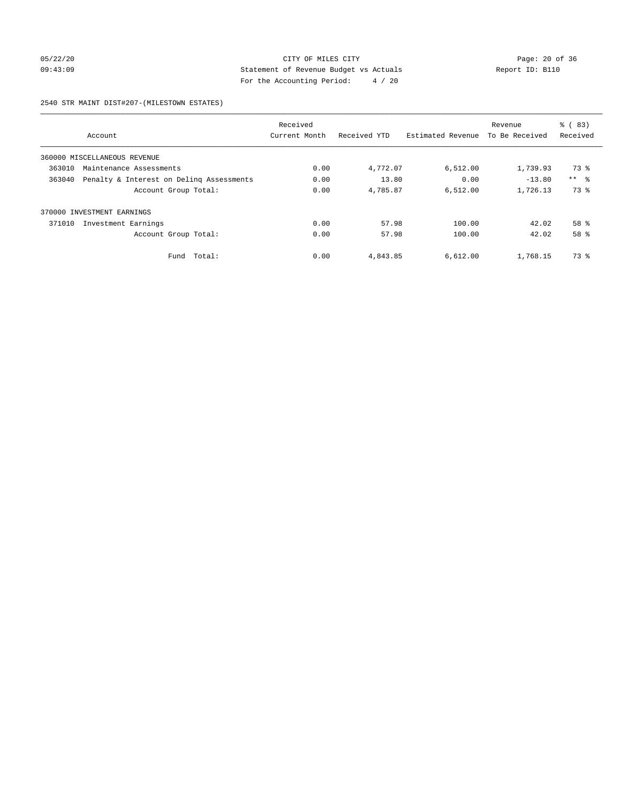## 05/22/20 Page: 20 of 36 09:43:09 Statement of Revenue Budget vs Actuals Report ID: B110 For the Accounting Period: 4 / 20

#### 2540 STR MAINT DIST#207-(MILESTOWN ESTATES)

| Received |                                          |               |              |                   | Revenue        | $\frac{6}{6}$ (83) |
|----------|------------------------------------------|---------------|--------------|-------------------|----------------|--------------------|
|          | Account                                  | Current Month | Received YTD | Estimated Revenue | To Be Received | Received           |
|          | 360000 MISCELLANEOUS REVENUE             |               |              |                   |                |                    |
| 363010   | Maintenance Assessments                  | 0.00          | 4,772.07     | 6,512.00          | 1,739.93       | 73 %               |
| 363040   | Penalty & Interest on Deling Assessments | 0.00          | 13.80        | 0.00              | $-13.80$       | $***$ $\approx$    |
|          | Account Group Total:                     | 0.00          | 4,785.87     | 6.512.00          | 1,726.13       | 73 %               |
| 370000   | INVESTMENT EARNINGS                      |               |              |                   |                |                    |
| 371010   | Investment Earnings                      | 0.00          | 57.98        | 100.00            | 42.02          | $58*$              |
|          | Account Group Total:                     | 0.00          | 57.98        | 100.00            | 42.02          | 58 %               |
|          | Total:<br>Fund                           | 0.00          | 4,843.85     | 6,612.00          | 1,768.15       | 73 %               |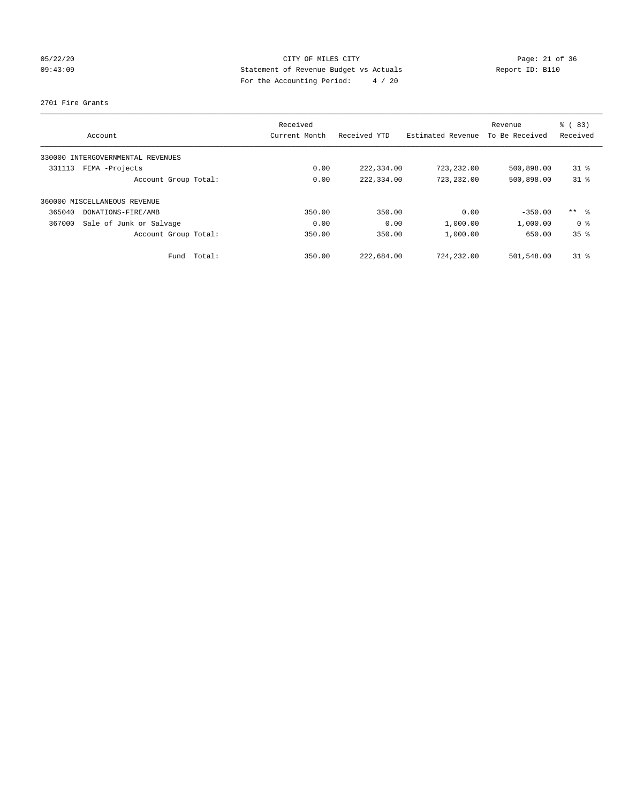## 05/22/20 Page: 21 of 36 09:43:09 Statement of Revenue Budget vs Actuals Report ID: B110 For the Accounting Period: 4 / 20

## 2701 Fire Grants

|                                   | Received      |              |                   | Revenue        | % (83)             |
|-----------------------------------|---------------|--------------|-------------------|----------------|--------------------|
| Account                           | Current Month | Received YTD | Estimated Revenue | To Be Received | Received           |
| 330000 INTERGOVERNMENTAL REVENUES |               |              |                   |                |                    |
| FEMA -Projects<br>331113          | 0.00          | 222,334.00   | 723,232.00        | 500,898.00     | $31$ $\frac{6}{3}$ |
| Account Group Total:              | 0.00          | 222,334.00   | 723,232.00        | 500,898.00     | $31$ %             |
| 360000 MISCELLANEOUS REVENUE      |               |              |                   |                |                    |
| 365040<br>DONATIONS-FIRE/AMB      | 350.00        | 350.00       | 0.00              | $-350.00$      | ** 8               |
| 367000<br>Sale of Junk or Salvage | 0.00          | 0.00         | 1,000.00          | 1,000.00       | 0 <sup>8</sup>     |
| Account Group Total:              | 350.00        | 350.00       | 1,000.00          | 650.00         | 35%                |
| Fund Total:                       | 350.00        | 222,684.00   | 724,232.00        | 501,548.00     | $31*$              |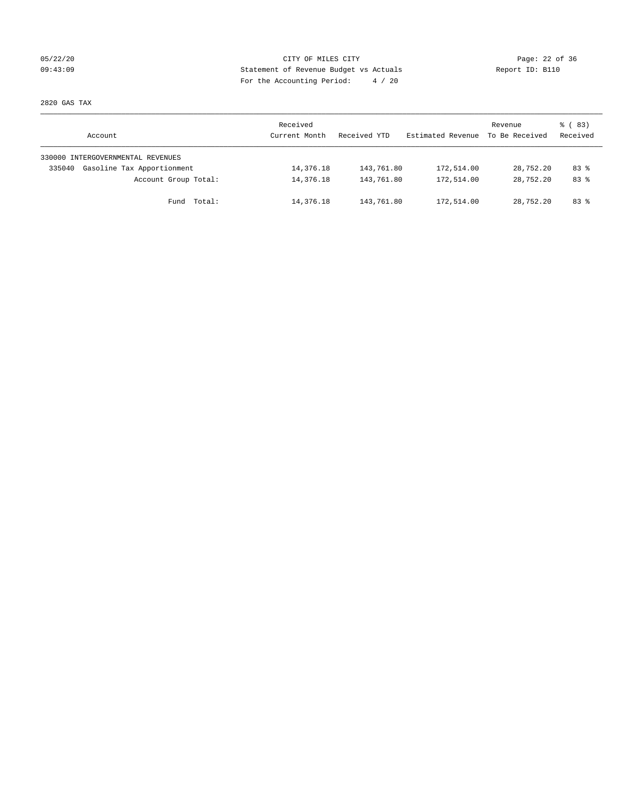## 05/22/20 Page: 22 of 36 09:43:09 Statement of Revenue Budget vs Actuals Report ID: B110 For the Accounting Period: 4 / 20

2820 GAS TAX

| Account                              | Received<br>Current Month | Received YTD | Estimated Revenue | Revenue<br>To Be Received | 8 (83)<br>Received |
|--------------------------------------|---------------------------|--------------|-------------------|---------------------------|--------------------|
| 330000 INTERGOVERNMENTAL REVENUES    |                           |              |                   |                           |                    |
| Gasoline Tax Apportionment<br>335040 | 14,376.18                 | 143,761.80   | 172,514.00        | 28,752.20                 | $83*$              |
| Account Group Total:                 | 14,376.18                 | 143,761.80   | 172,514.00        | 28,752.20                 | $83*$              |
| Fund Total:                          | 14,376.18                 | 143,761.80   | 172,514.00        | 28,752.20                 | 83 %               |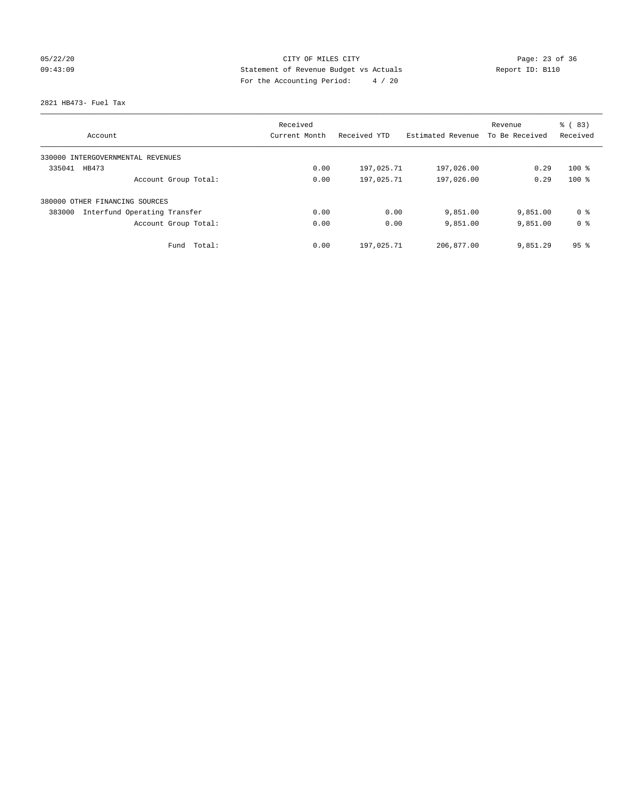## 05/22/20 Page: 23 of 36 09:43:09 Statement of Revenue Budget vs Actuals Report ID: B110 For the Accounting Period: 4 / 20

2821 HB473- Fuel Tax

|                                        | Received      |              |                   | Revenue        | % (83)          |
|----------------------------------------|---------------|--------------|-------------------|----------------|-----------------|
| Account                                | Current Month | Received YTD | Estimated Revenue | To Be Received | Received        |
| 330000 INTERGOVERNMENTAL REVENUES      |               |              |                   |                |                 |
| 335041<br>HB473                        | 0.00          | 197,025.71   | 197,026.00        | 0.29           | $100*$          |
| Account Group Total:                   | 0.00          | 197,025.71   | 197,026.00        | 0.29           | $100*$          |
| 380000 OTHER FINANCING SOURCES         |               |              |                   |                |                 |
| Interfund Operating Transfer<br>383000 | 0.00          | 0.00         | 9,851.00          | 9,851.00       | 0 ક             |
| Account Group Total:                   | 0.00          | 0.00         | 9,851.00          | 9,851.00       | 0 <sup>8</sup>  |
| Total:<br>Fund                         | 0.00          | 197,025.71   | 206,877.00        | 9,851.29       | 95 <sup>8</sup> |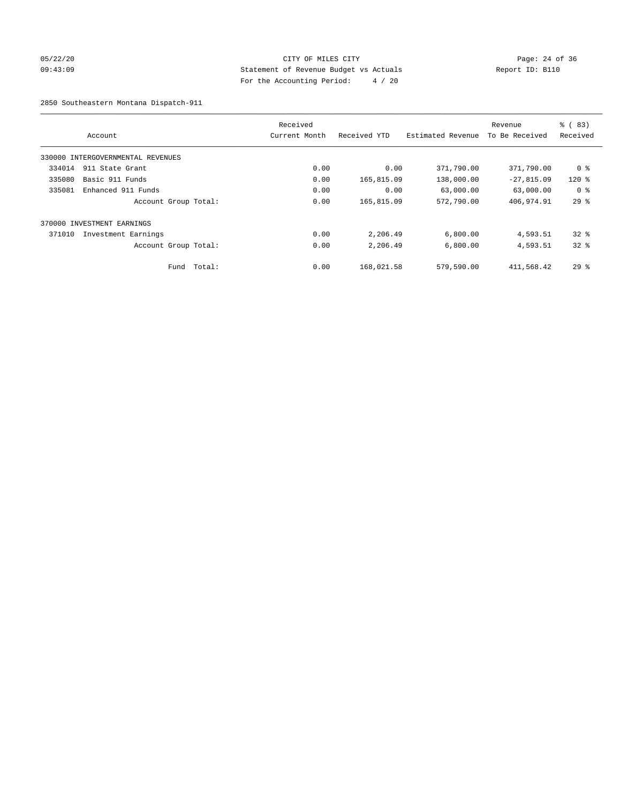## 05/22/20 Page: 24 of 36 09:43:09 Statement of Revenue Budget vs Actuals Report ID: B110 For the Accounting Period: 4 / 20

2850 Southeastern Montana Dispatch-911

|        | Account                           |        | Received<br>Current Month | Received YTD | Estimated Revenue | Revenue<br>To Be Received | $\frac{8}{6}$ (83)<br>Received |
|--------|-----------------------------------|--------|---------------------------|--------------|-------------------|---------------------------|--------------------------------|
|        | 330000 INTERGOVERNMENTAL REVENUES |        |                           |              |                   |                           |                                |
| 334014 | 911 State Grant                   |        | 0.00                      | 0.00         | 371,790.00        | 371,790.00                | 0 %                            |
| 335080 | Basic 911 Funds                   |        | 0.00                      | 165,815.09   | 138,000.00        | $-27,815.09$              | $120$ $%$                      |
| 335081 | Enhanced 911 Funds                |        | 0.00                      | 0.00         | 63,000.00         | 63,000.00                 | 0 <sup>8</sup>                 |
|        | Account Group Total:              |        | 0.00                      | 165,815.09   | 572,790.00        | 406,974.91                | 29%                            |
|        | 370000 INVESTMENT EARNINGS        |        |                           |              |                   |                           |                                |
| 371010 | Investment Earnings               |        | 0.00                      | 2,206.49     | 6,800.00          | 4,593.51                  | $32*$                          |
|        | Account Group Total:              |        | 0.00                      | 2,206.49     | 6,800.00          | 4,593.51                  | $32*$                          |
|        | Fund                              | Total: | 0.00                      | 168,021.58   | 579,590.00        | 411,568.42                | $29*$                          |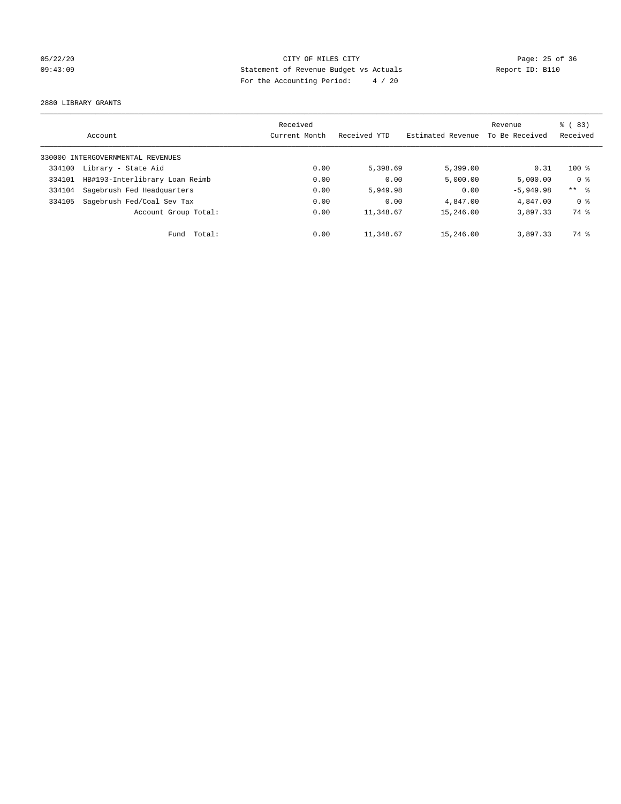## 05/22/20 Page: 25 of 36 09:43:09 Statement of Revenue Budget vs Actuals Report ID: B110 For the Accounting Period: 4 / 20

2880 LIBRARY GRANTS

|        |                                   | Received      |              |                   | Revenue        | $\frac{6}{6}$ (83) |
|--------|-----------------------------------|---------------|--------------|-------------------|----------------|--------------------|
|        | Account                           | Current Month | Received YTD | Estimated Revenue | To Be Received | Received           |
|        | 330000 INTERGOVERNMENTAL REVENUES |               |              |                   |                |                    |
| 334100 | Library - State Aid               | 0.00          | 5,398.69     | 5,399.00          | 0.31           | $100*$             |
| 334101 | HB#193-Interlibrary Loan Reimb    | 0.00          | 0.00         | 5,000.00          | 5.000.00       | 0 <sup>8</sup>     |
| 334104 | Sagebrush Fed Headquarters        | 0.00          | 5,949.98     | 0.00              | $-5,949.98$    | $***$ $ -$         |
| 334105 | Sagebrush Fed/Coal Sev Tax        | 0.00          | 0.00         | 4,847.00          | 4,847.00       | 0 <sup>8</sup>     |
|        | Account Group Total:              | 0.00          | 11,348.67    | 15,246.00         | 3,897.33       | 74 %               |
|        | Total:<br>Fund                    | 0.00          | 11,348.67    | 15,246.00         | 3,897.33       | 74 %               |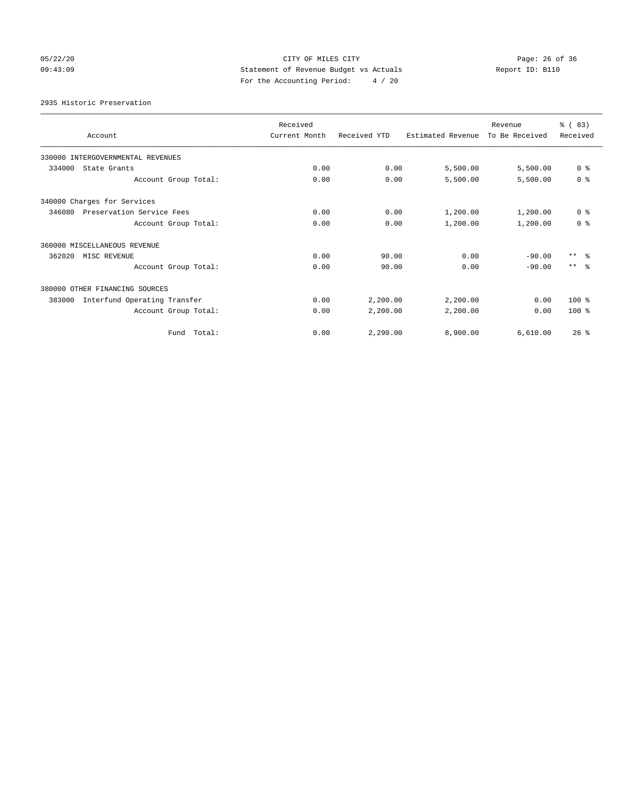## 05/22/20 Page: 26 of 36 CITY OF MILES CITY CONTROL PAGE: 26 of 36 09:43:09 Statement of Revenue Budget vs Actuals Report ID: B110 For the Accounting Period: 4 / 20

2935 Historic Preservation

| Account                                | Received<br>Current Month | Received YTD | Estimated Revenue | Revenue<br>To Be Received | % (83)<br>Received |
|----------------------------------------|---------------------------|--------------|-------------------|---------------------------|--------------------|
| 330000 INTERGOVERNMENTAL REVENUES      |                           |              |                   |                           |                    |
| 334000<br>State Grants                 | 0.00                      | 0.00         | 5,500.00          | 5,500.00                  | 0 <sup>8</sup>     |
| Account Group Total:                   | 0.00                      | 0.00         | 5,500.00          | 5,500.00                  | 0 <sup>8</sup>     |
| 340000 Charges for Services            |                           |              |                   |                           |                    |
| 346080<br>Preservation Service Fees    | 0.00                      | 0.00         | 1,200.00          | 1,200.00                  | 0 <sup>8</sup>     |
| Account Group Total:                   | 0.00                      | 0.00         | 1,200.00          | 1,200.00                  | 0 <sup>8</sup>     |
| 360000 MISCELLANEOUS REVENUE           |                           |              |                   |                           |                    |
| 362020<br>MISC REVENUE                 | 0.00                      | 90.00        | 0.00              | $-90.00$                  | $***$ $ -$         |
| Account Group Total:                   | 0.00                      | 90.00        | 0.00              | $-90.00$                  | $***$ $\approx$    |
| 380000 OTHER FINANCING SOURCES         |                           |              |                   |                           |                    |
| Interfund Operating Transfer<br>383000 | 0.00                      | 2,200.00     | 2,200.00          | 0.00                      | $100*$             |
| Account Group Total:                   | 0.00                      | 2,200.00     | 2,200.00          | 0.00                      | $100*$             |
| Fund Total:                            | 0.00                      | 2.290.00     | 8,900.00          | 6.610.00                  | 26%                |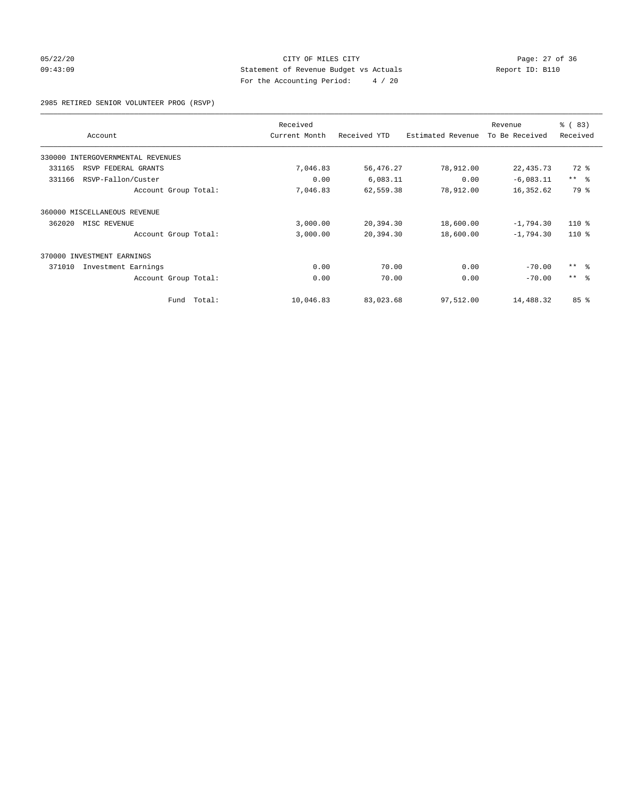## 05/22/20 Page: 27 of 36 09:43:09 Statement of Revenue Budget vs Actuals Report ID: B110 For the Accounting Period: 4 / 20

2985 RETIRED SENIOR VOLUNTEER PROG (RSVP)

|                                   | Received      |              |                   | Revenue        | % (83)     |
|-----------------------------------|---------------|--------------|-------------------|----------------|------------|
| Account                           | Current Month | Received YTD | Estimated Revenue | To Be Received | Received   |
| 330000 INTERGOVERNMENTAL REVENUES |               |              |                   |                |            |
| 331165<br>RSVP FEDERAL GRANTS     | 7,046.83      | 56,476.27    | 78,912.00         | 22, 435.73     | 72 %       |
| 331166<br>RSVP-Fallon/Custer      | 0.00          | 6,083.11     | 0.00              | $-6,083.11$    | $***$ $ -$ |
| Account Group Total:              | 7,046.83      | 62,559.38    | 78,912.00         | 16,352.62      | 79 %       |
| 360000 MISCELLANEOUS REVENUE      |               |              |                   |                |            |
| 362020<br>MISC REVENUE            | 3,000.00      | 20,394.30    | 18,600.00         | $-1,794.30$    | $110*$     |
| Account Group Total:              | 3,000.00      | 20,394.30    | 18,600.00         | $-1,794.30$    | $110*$     |
| 370000<br>INVESTMENT EARNINGS     |               |              |                   |                |            |
| 371010<br>Investment Earnings     | 0.00          | 70.00        | 0.00              | $-70.00$       | $***$ $-$  |
| Account Group Total:              | 0.00          | 70.00        | 0.00              | $-70.00$       | $***$ $ -$ |
| Fund Total:                       | 10,046.83     | 83,023.68    | 97,512.00         | 14,488.32      | 85 %       |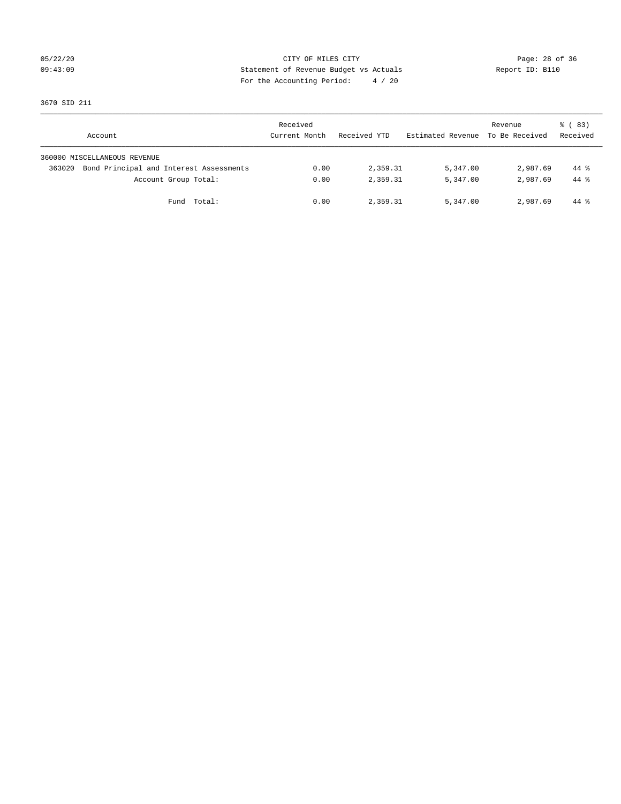## 05/22/20 Page: 28 of 36 09:43:09 Statement of Revenue Budget vs Actuals Report ID: B110 For the Accounting Period: 4 / 20

3670 SID 211

| Account                                           | Received<br>Current Month | Received YTD | Estimated Revenue | Revenue<br>To Be Received | 8 (83)<br>Received |
|---------------------------------------------------|---------------------------|--------------|-------------------|---------------------------|--------------------|
| 360000 MISCELLANEOUS REVENUE                      |                           |              |                   |                           |                    |
| Bond Principal and Interest Assessments<br>363020 | 0.00                      | 2,359.31     | 5,347.00          | 2,987.69                  | $44*$              |
| Account Group Total:                              | 0.00                      | 2,359.31     | 5,347.00          | 2,987.69                  | $44*$              |
| Fund Total:                                       | 0.00                      | 2,359.31     | 5,347.00          | 2,987.69                  | 44 %               |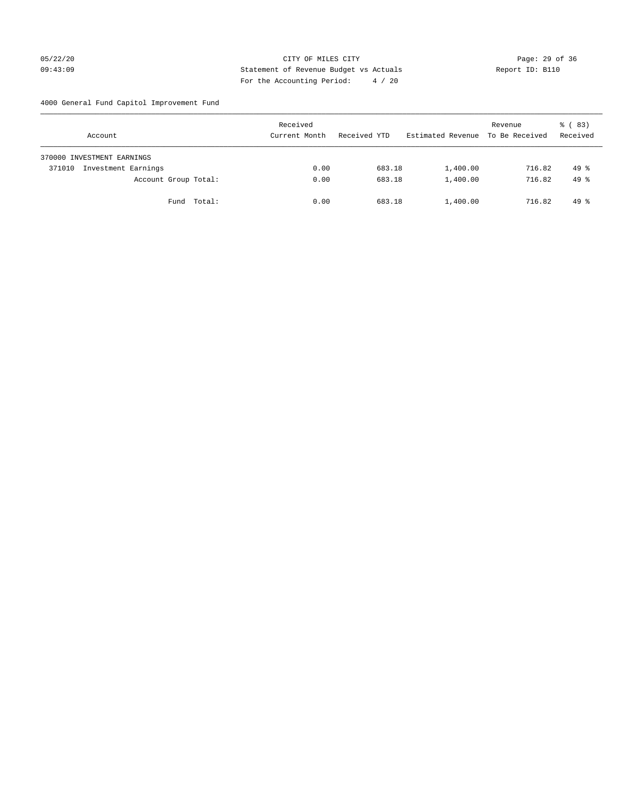## 05/22/20 Page: 29 of 36 09:43:09 Statement of Revenue Budget vs Actuals Report ID: B110 For the Accounting Period: 4 / 20

4000 General Fund Capitol Improvement Fund

| Account                       | Received<br>Current Month | Received YTD | Estimated Revenue | Revenue<br>To Be Received | 8 (83)<br>Received |
|-------------------------------|---------------------------|--------------|-------------------|---------------------------|--------------------|
| 370000 INVESTMENT EARNINGS    |                           |              |                   |                           |                    |
| Investment Earnings<br>371010 | 0.00                      | 683.18       | 1,400.00          | 716.82                    | $49*$              |
| Account Group Total:          | 0.00                      | 683.18       | 1,400.00          | 716.82                    | $49*$              |
| Fund Total:                   | 0.00                      | 683.18       | 1,400.00          | 716.82                    | $49*$              |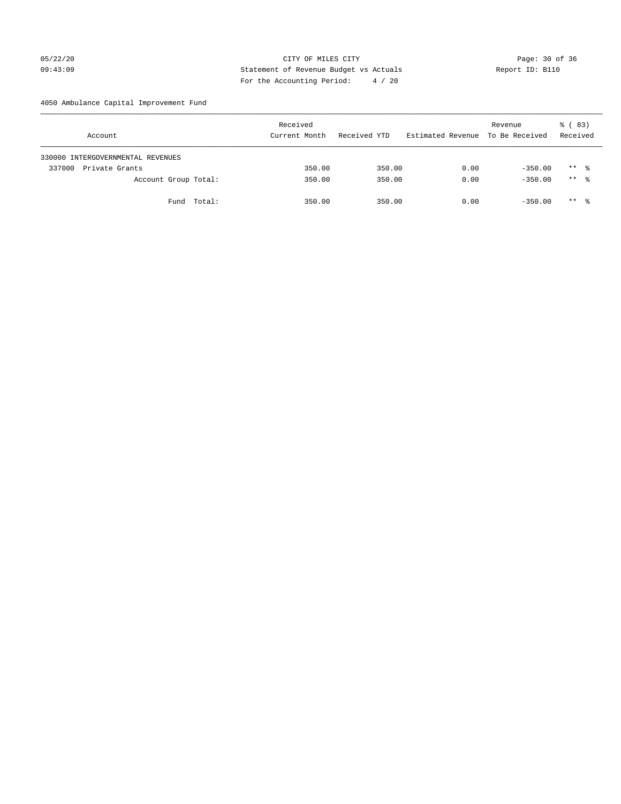## 05/22/20 Page: 30 of 36 CITY OF MILES CITY CONTROL PAGE: 30 of 36 09:43:09 Statement of Revenue Budget vs Actuals Report ID: B110 For the Accounting Period: 4 / 20

4050 Ambulance Capital Improvement Fund

| Account                           | Received<br>Current Month | Received YTD | Estimated Revenue To Be Received | Revenue   | 8 (83)<br>Received |
|-----------------------------------|---------------------------|--------------|----------------------------------|-----------|--------------------|
| 330000 INTERGOVERNMENTAL REVENUES |                           |              |                                  |           |                    |
| Private Grants<br>337000          | 350.00                    | 350.00       | 0.00                             | $-350.00$ | $***$ %            |
| Account Group Total:              | 350.00                    | 350.00       | 0.00                             | $-350.00$ | $***$ %            |
| Fund Total:                       | 350.00                    | 350.00       | 0.00                             | $-350.00$ | ** *               |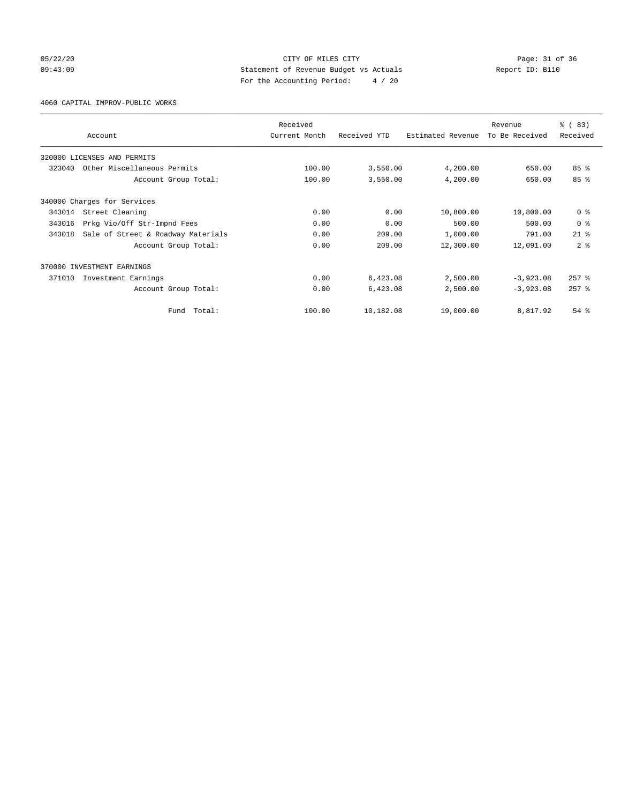## 05/22/20 Page: 31 of 36 09:43:09 Statement of Revenue Budget vs Actuals Report ID: B110 For the Accounting Period: 4 / 20

4060 CAPITAL IMPROV-PUBLIC WORKS

|        |                                    | Received      |              |                   | Revenue        | % (83)          |
|--------|------------------------------------|---------------|--------------|-------------------|----------------|-----------------|
|        | Account                            | Current Month | Received YTD | Estimated Revenue | To Be Received | Received        |
|        | 320000 LICENSES AND PERMITS        |               |              |                   |                |                 |
| 323040 | Other Miscellaneous Permits        | 100.00        | 3,550.00     | 4,200.00          | 650.00         | 85 <sup>8</sup> |
|        | Account Group Total:               | 100.00        | 3,550.00     | 4,200.00          | 650.00         | 85%             |
|        | 340000 Charges for Services        |               |              |                   |                |                 |
| 343014 | Street Cleaning                    | 0.00          | 0.00         | 10,800.00         | 10,800.00      | 0 <sup>8</sup>  |
| 343016 | Prkg Vio/Off Str-Impnd Fees        | 0.00          | 0.00         | 500.00            | 500.00         | 0 <sup>8</sup>  |
| 343018 | Sale of Street & Roadway Materials | 0.00          | 209.00       | 1,000.00          | 791.00         | $21$ $%$        |
|        | Account Group Total:               | 0.00          | 209.00       | 12,300.00         | 12,091.00      | 2 <sup>8</sup>  |
|        | 370000 INVESTMENT EARNINGS         |               |              |                   |                |                 |
| 371010 | Investment Earnings                | 0.00          | 6,423.08     | 2,500.00          | $-3,923.08$    | $257$ $%$       |
|        | Account Group Total:               | 0.00          | 6,423.08     | 2,500.00          | $-3,923.08$    | $257$ $%$       |
|        | Total:<br>Fund                     | 100.00        | 10,182.08    | 19,000.00         | 8,817.92       | $54$ $%$        |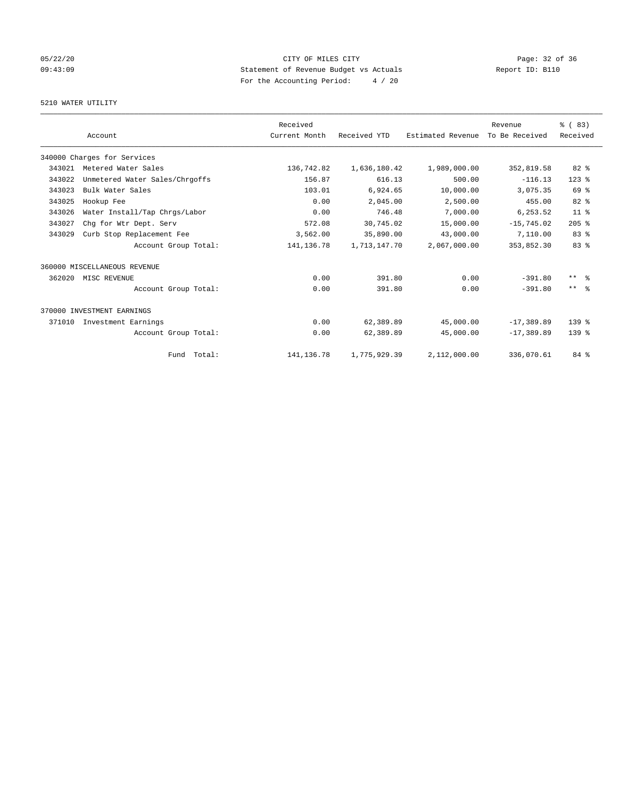## 05/22/20 Page: 32 of 36 09:43:09 Statement of Revenue Budget vs Actuals Report ID: B110 For the Accounting Period: 4 / 20

## 5210 WATER UTILITY

|        |                                | Received      |              |                   | Revenue        | % (83)          |
|--------|--------------------------------|---------------|--------------|-------------------|----------------|-----------------|
|        | Account                        | Current Month | Received YTD | Estimated Revenue | To Be Received | Received        |
|        | 340000 Charges for Services    |               |              |                   |                |                 |
| 343021 | Metered Water Sales            | 136,742.82    | 1,636,180.42 | 1,989,000.00      | 352,819.58     | 82%             |
| 343022 | Unmetered Water Sales/Chrgoffs | 156.87        | 616.13       | 500.00            | $-116.13$      | $123$ $%$       |
| 343023 | Bulk Water Sales               | 103.01        | 6,924.65     | 10,000.00         | 3,075.35       | 69 %            |
| 343025 | Hookup Fee                     | 0.00          | 2,045.00     | 2,500.00          | 455.00         | 82 %            |
| 343026 | Water Install/Tap Chrgs/Labor  | 0.00          | 746.48       | 7,000.00          | 6,253.52       | 11 <sup>°</sup> |
| 343027 | Chg for Wtr Dept. Serv         | 572.08        | 30,745.02    | 15,000.00         | $-15.745.02$   | $205$ %         |
| 343029 | Curb Stop Replacement Fee      | 3,562.00      | 35,890.00    | 43,000.00         | 7,110.00       | 83%             |
|        | Account Group Total:           | 141, 136. 78  | 1,713,147.70 | 2,067,000.00      | 353,852.30     | 83 <sup>8</sup> |
|        | 360000 MISCELLANEOUS REVENUE   |               |              |                   |                |                 |
| 362020 | MISC REVENUE                   | 0.00          | 391.80       | 0.00              | $-391.80$      | $***$ $ -$      |
|        | Account Group Total:           | 0.00          | 391.80       | 0.00              | $-391.80$      | $***$ $ -$      |
|        | 370000 INVESTMENT EARNINGS     |               |              |                   |                |                 |
| 371010 | Investment Earnings            | 0.00          | 62,389.89    | 45,000.00         | $-17,389.89$   | $139*$          |
|        | Account Group Total:           | 0.00          | 62,389.89    | 45,000.00         | $-17, 389.89$  | 139.8           |
|        | Fund Total:                    | 141, 136. 78  | 1,775,929.39 | 2,112,000.00      | 336,070.61     | 84 %            |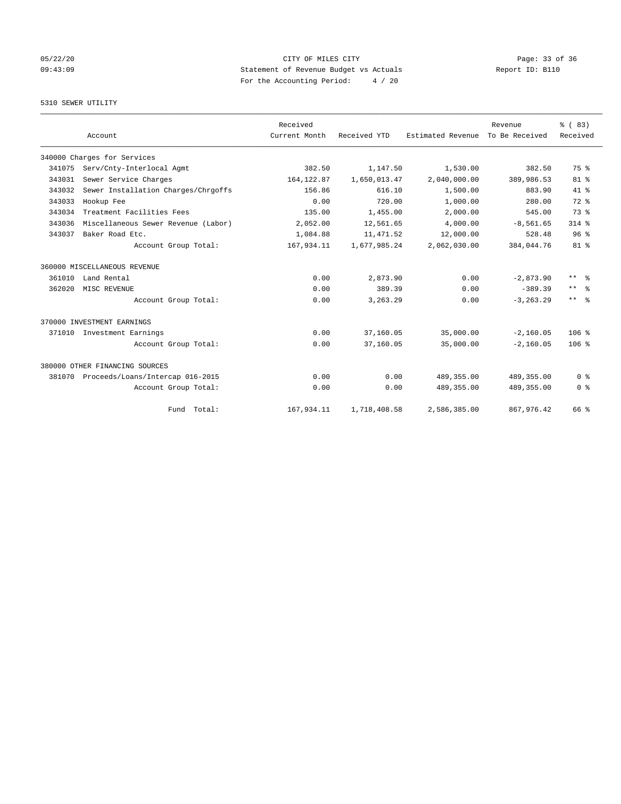## 05/22/20 Page: 33 of 36 09:43:09 Statement of Revenue Budget vs Actuals Report ID: B110 For the Accounting Period: 4 / 20

## 5310 SEWER UTILITY

|        |                                     | Received      |              |                   | Revenue        | % (83)                  |
|--------|-------------------------------------|---------------|--------------|-------------------|----------------|-------------------------|
|        | Account                             | Current Month | Received YTD | Estimated Revenue | To Be Received | Received                |
|        | 340000 Charges for Services         |               |              |                   |                |                         |
| 341075 | Serv/Cnty-Interlocal Agmt           | 382.50        | 1,147.50     | 1,530.00          | 382.50         | 75 %                    |
| 343031 | Sewer Service Charges               | 164, 122.87   | 1,650,013.47 | 2,040,000.00      | 389,986.53     | $81 - 8$                |
| 343032 | Sewer Installation Charges/Chrgoffs | 156.86        | 616.10       | 1,500.00          | 883.90         | $41*$                   |
| 343033 | Hookup Fee                          | 0.00          | 720.00       | 1,000.00          | 280.00         | 72 %                    |
| 343034 | Treatment Facilities Fees           | 135.00        | 1,455.00     | 2,000.00          | 545.00         | 73 %                    |
| 343036 | Miscellaneous Sewer Revenue (Labor) | 2,052.00      | 12,561.65    | 4,000.00          | $-8,561.65$    | $314$ $%$               |
| 343037 | Baker Road Etc.                     | 1,084.88      | 11, 471.52   | 12,000.00         | 528.48         | 96 <sup>8</sup>         |
|        | Account Group Total:                | 167,934.11    | 1,677,985.24 | 2,062,030.00      | 384,044.76     | $81 - 8$                |
|        | 360000 MISCELLANEOUS REVENUE        |               |              |                   |                |                         |
| 361010 | Land Rental                         | 0.00          | 2,873.90     | 0.00              | $-2.873.90$    | $\star\star$<br>- 옹     |
| 362020 | MISC REVENUE                        | 0.00          | 389.39       | 0.00              | $-389.39$      | $***$<br>$\approx$      |
|        | Account Group Total:                | 0.00          | 3,263.29     | 0.00              | $-3, 263.29$   | $***$ $=$ $\frac{6}{5}$ |
|        | 370000 INVESTMENT EARNINGS          |               |              |                   |                |                         |
| 371010 | Investment Earnings                 | 0.00          | 37,160.05    | 35,000.00         | $-2,160.05$    | 106 <sup>8</sup>        |
|        | Account Group Total:                | 0.00          | 37,160.05    | 35,000.00         | $-2, 160.05$   | 106 <sup>8</sup>        |
|        | 380000 OTHER FINANCING SOURCES      |               |              |                   |                |                         |
| 381070 | Proceeds/Loans/Intercap 016-2015    | 0.00          | 0.00         | 489, 355, 00      | 489, 355, 00   | 0 <sup>8</sup>          |
|        | Account Group Total:                | 0.00          | 0.00         | 489, 355.00       | 489,355.00     | 0 <sup>8</sup>          |
|        | Fund Total:                         | 167,934.11    | 1,718,408.58 | 2,586,385.00      | 867, 976.42    | 66 %                    |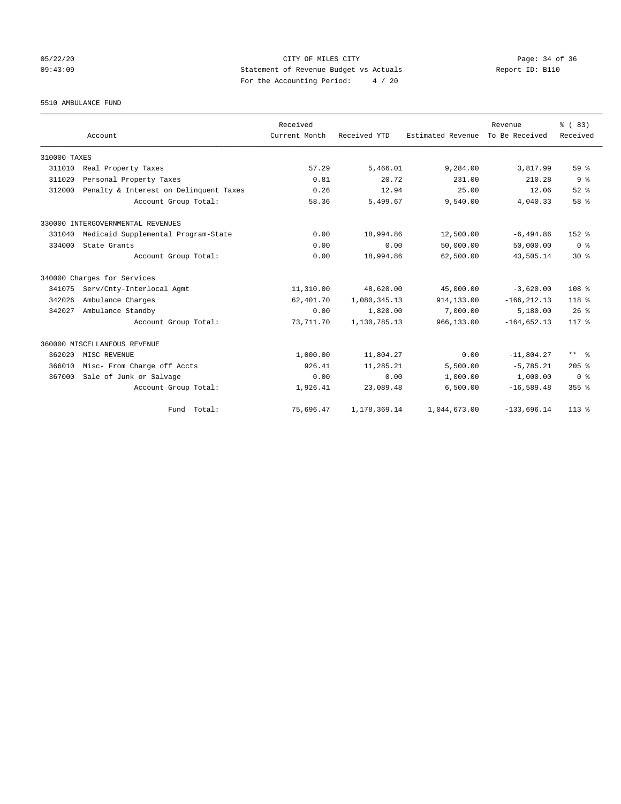## 05/22/20 Page: 34 of 36 CITY OF MILES CITY CONTROL PAGE: 34 of 36 09:43:09 Statement of Revenue Budget vs Actuals Report ID: B110 For the Accounting Period: 4 / 20

5510 AMBULANCE FUND

|              | Account                                | Received<br>Current Month | Received YTD | Estimated Revenue | Revenue<br>To Be Received | % (83)<br>Received |
|--------------|----------------------------------------|---------------------------|--------------|-------------------|---------------------------|--------------------|
| 310000 TAXES |                                        |                           |              |                   |                           |                    |
| 311010       | Real Property Taxes                    | 57.29                     | 5,466.01     | 9,284.00          | 3,817.99                  | 59 %               |
| 311020       | Personal Property Taxes                | 0.81                      | 20.72        | 231.00            | 210.28                    | 9 <sup>°</sup>     |
| 312000       | Penalty & Interest on Delinquent Taxes | 0.26                      | 12.94        | 25.00             | 12.06                     | $52$ $%$           |
|              | Account Group Total:                   | 58.36                     | 5,499.67     | 9,540.00          | 4,040.33                  | 58 %               |
|              | 330000 INTERGOVERNMENTAL REVENUES      |                           |              |                   |                           |                    |
| 331040       | Medicaid Supplemental Program-State    | 0.00                      | 18,994.86    | 12,500.00         | $-6, 494.86$              | $152*$             |
| 334000       | State Grants                           | 0.00                      | 0.00         | 50,000.00         | 50,000.00                 | 0 <sup>8</sup>     |
|              | Account Group Total:                   | 0.00                      | 18,994.86    | 62,500.00         | 43,505.14                 | $30*$              |
|              | 340000 Charges for Services            |                           |              |                   |                           |                    |
| 341075       | Serv/Cnty-Interlocal Agmt              | 11,310.00                 | 48,620.00    | 45,000.00         | $-3,620.00$               | 108 <sup>8</sup>   |
| 342026       | Ambulance Charges                      | 62,401.70                 | 1,080,345.13 | 914,133.00        | $-166, 212.13$            | $118*$             |
| 342027       | Ambulance Standby                      | 0.00                      | 1,820.00     | 7,000.00          | 5,180.00                  | $26$ %             |
|              | Account Group Total:                   | 73,711.70                 | 1,130,785.13 | 966,133.00        | $-164.652.13$             | $117*$             |
|              | 360000 MISCELLANEOUS REVENUE           |                           |              |                   |                           |                    |
| 362020       | MISC REVENUE                           | 1,000.00                  | 11,804.27    | 0.00              | $-11,804.27$              | ** %               |
| 366010       | Misc- From Charge off Accts            | 926.41                    | 11,285.21    | 5,500.00          | $-5,785.21$               | $205$ %            |
| 367000       | Sale of Junk or Salvage                | 0.00                      | 0.00         | 1,000.00          | 1,000.00                  | 0 <sup>8</sup>     |
|              | Account Group Total:                   | 1,926.41                  | 23,089.48    | 6,500.00          | $-16,589.48$              | $355$ %            |
|              | Fund Total:                            | 75,696.47                 | 1,178,369.14 | 1,044,673.00      | $-133,696.14$             | $113*$             |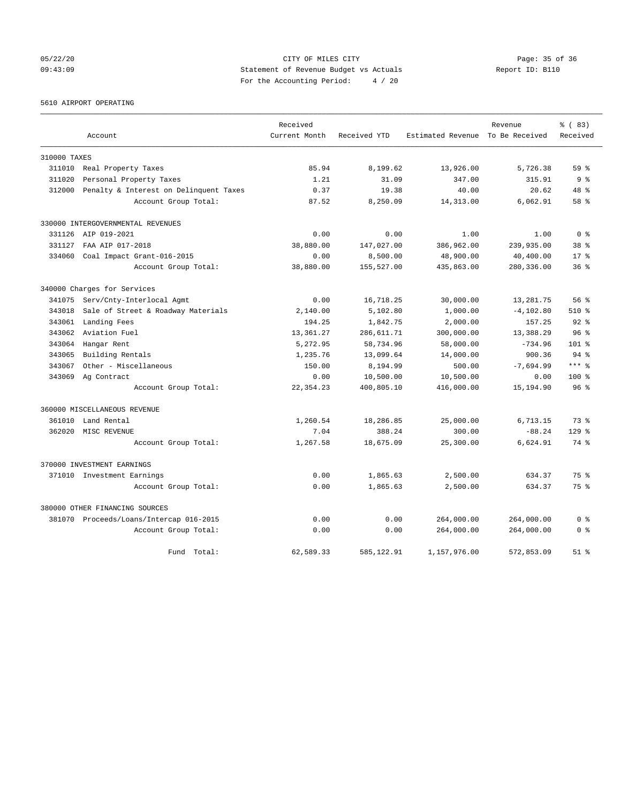05/22/20 Page: 35 of 36 CITY OF MILES CITY CONTROL PAGE: 35 of 36 09:43:09 Statement of Revenue Budget vs Actuals Report ID: B110 For the Accounting Period: 4 / 20

5610 AIRPORT OPERATING

|              |                                         | Received      |              |                                  | Revenue      | % (83)          |
|--------------|-----------------------------------------|---------------|--------------|----------------------------------|--------------|-----------------|
|              | Account                                 | Current Month | Received YTD | Estimated Revenue To Be Received |              | Received        |
| 310000 TAXES |                                         |               |              |                                  |              |                 |
| 311010       | Real Property Taxes                     | 85.94         | 8,199.62     | 13,926.00                        | 5,726.38     | 59 <sup>8</sup> |
| 311020       | Personal Property Taxes                 | 1.21          | 31.09        | 347.00                           | 315.91       | 9 <sup>°</sup>  |
| 312000       | Penalty & Interest on Delinquent Taxes  | 0.37          | 19.38        | 40.00                            | 20.62        | 48 %            |
|              | Account Group Total:                    | 87.52         | 8,250.09     | 14,313.00                        | 6,062.91     | $58*$           |
|              | 330000 INTERGOVERNMENTAL REVENUES       |               |              |                                  |              |                 |
|              | 331126 AIP 019-2021                     | 0.00          | 0.00         | 1.00                             | 1.00         | 0 <sup>8</sup>  |
| 331127       | FAA AIP 017-2018                        | 38,880.00     | 147,027.00   | 386,962.00                       | 239,935.00   | 38 %            |
| 334060       | Coal Impact Grant-016-2015              | 0.00          | 8,500.00     | 48,900.00                        | 40,400.00    | $17*$           |
|              | Account Group Total:                    | 38,880.00     | 155,527.00   | 435,863.00                       | 280,336.00   | 36 <sup>8</sup> |
|              | 340000 Charges for Services             |               |              |                                  |              |                 |
| 341075       | Serv/Cnty-Interlocal Agmt               | 0.00          | 16,718.25    | 30,000.00                        | 13,281.75    | 56%             |
| 343018       | Sale of Street & Roadway Materials      | 2,140.00      | 5,102.80     | 1,000.00                         | $-4, 102.80$ | 510 %           |
| 343061       | Landing Fees                            | 194.25        | 1,842.75     | 2,000.00                         | 157.25       | $92$ $%$        |
| 343062       | Aviation Fuel                           | 13,361.27     | 286,611.71   | 300,000.00                       | 13,388.29    | 96 <sup>8</sup> |
| 343064       | Hangar Rent                             | 5,272.95      | 58,734.96    | 58,000.00                        | $-734.96$    | $101$ %         |
| 343065       | Building Rentals                        | 1,235.76      | 13,099.64    | 14,000.00                        | 900.36       | $94*$           |
| 343067       | Other - Miscellaneous                   | 150.00        | 8,194.99     | 500.00                           | $-7,694.99$  | $***$ $%$       |
| 343069       | Ag Contract                             | 0.00          | 10,500.00    | 10,500.00                        | 0.00         | 100%            |
|              | Account Group Total:                    | 22, 354.23    | 400,805.10   | 416,000.00                       | 15,194.90    | 96 <sup>8</sup> |
|              | 360000 MISCELLANEOUS REVENUE            |               |              |                                  |              |                 |
| 361010       | Land Rental                             | 1,260.54      | 18,286.85    | 25,000.00                        | 6,713.15     | 73.8            |
| 362020       | MISC REVENUE                            | 7.04          | 388.24       | 300.00                           | $-88.24$     | $129$ $%$       |
|              | Account Group Total:                    | 1,267.58      | 18,675.09    | 25,300.00                        | 6,624.91     | 74 %            |
|              | 370000 INVESTMENT EARNINGS              |               |              |                                  |              |                 |
|              | 371010 Investment Earnings              | 0.00          | 1,865.63     | 2,500.00                         | 634.37       | 75 %            |
|              | Account Group Total:                    | 0.00          | 1,865.63     | 2,500.00                         | 634.37       | 75%             |
|              | 380000 OTHER FINANCING SOURCES          |               |              |                                  |              |                 |
|              | 381070 Proceeds/Loans/Intercap 016-2015 | 0.00          | 0.00         | 264,000.00                       | 264,000.00   | 0 <sup>8</sup>  |
|              | Account Group Total:                    | 0.00          | 0.00         | 264,000.00                       | 264,000.00   | 0 <sup>8</sup>  |
|              | Fund<br>Total:                          | 62,589.33     | 585, 122.91  | 1,157,976.00                     | 572,853.09   | $51$ $%$        |